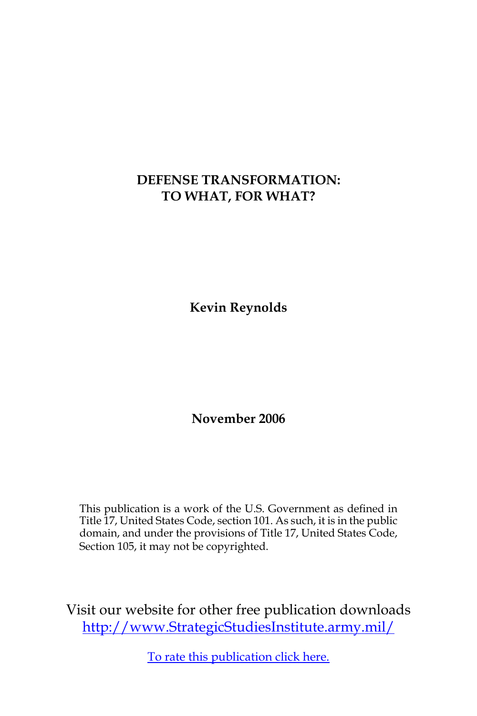# **DEFENSE TRANSFORMATION: TO WHAT, FOR WHAT?**

**Kevin Reynolds**

**November 2006**

This publication is a work of the U.S. Government as defined in Title 17, United States Code, section 101. As such, it is in the public domain, and under the provisions of Title 17, United States Code, Section 105, it may not be copyrighted.

Visit our website for other free publication downloads [http://www.StrategicStudiesInstitute.army.mil/](http://www.StrategicStudiesInstitute.army.mil)

[To rate this publication click here.](http://www.strategicstudiesinstitute.army.mil/pubs/display.cfm?pubID=733)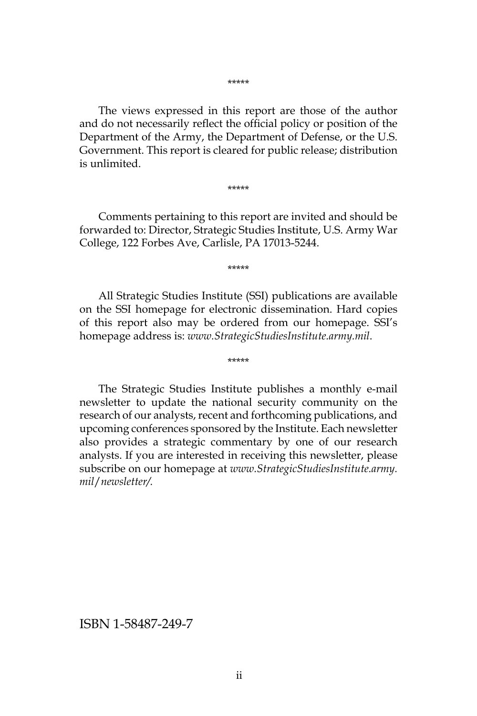\*\*\*\*\*

The views expressed in this report are those of the author and do not necessarily reflect the official policy or position of the Department of the Army, the Department of Defense, or the U.S. Government. This report is cleared for public release; distribution is unlimited.

\*\*\*\*\*

Comments pertaining to this report are invited and should be forwarded to: Director, Strategic Studies Institute, U.S. Army War College, 122 Forbes Ave, Carlisle, PA 17013-5244.

\*\*\*\*\*

All Strategic Studies Institute (SSI) publications are available on the SSI homepage for electronic dissemination. Hard copies of this report also may be ordered from our homepage. SSI's homepage address is: *www.StrategicStudiesInstitute.army.mil*.

\*\*\*\*\*

The Strategic Studies Institute publishes a monthly e-mail newsletter to update the national security community on the research of our analysts, recent and forthcoming publications, and upcoming conferences sponsored by the Institute. Each newsletter also provides a strategic commentary by one of our research analysts. If you are interested in receiving this newsletter, please subscribe on our homepage at *www.StrategicStudiesInstitute.army. mil*/*newsletter/.*

ISBN 1-58487-249-7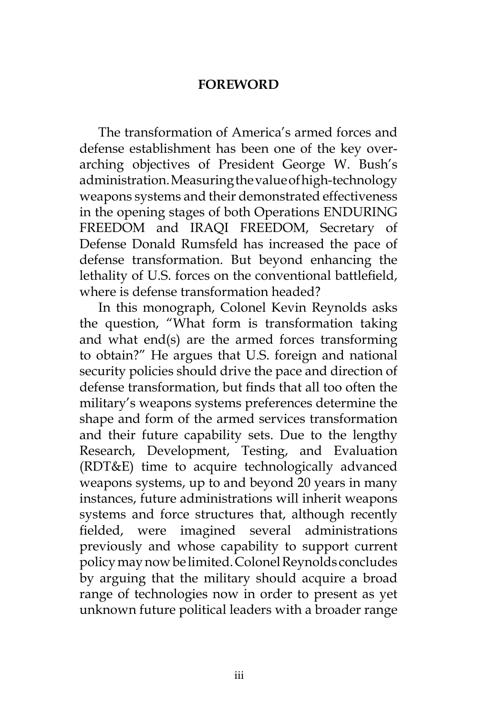# **FOREWORD**

The transformation of America's armed forces and defense establishment has been one of the key overarching objectives of President George W. Bush's administration. Measuring the value of high-technology weapons systems and their demonstrated effectiveness in the opening stages of both Operations ENDURING FREEDOM and IRAQI FREEDOM, Secretary of Defense Donald Rumsfeld has increased the pace of defense transformation. But beyond enhancing the lethality of U.S. forces on the conventional battlefield, where is defense transformation headed?

In this monograph, Colonel Kevin Reynolds asks the question, "What form is transformation taking and what end(s) are the armed forces transforming to obtain?" He argues that U.S. foreign and national security policies should drive the pace and direction of defense transformation, but finds that all too often the military's weapons systems preferences determine the shape and form of the armed services transformation and their future capability sets. Due to the lengthy Research, Development, Testing, and Evaluation (RDT&E) time to acquire technologically advanced weapons systems, up to and beyond 20 years in many instances, future administrations will inherit weapons systems and force structures that, although recently fielded, were imagined several administrations previously and whose capability to support current policy may now be limited. Colonel Reynolds concludes by arguing that the military should acquire a broad range of technologies now in order to present as yet unknown future political leaders with a broader range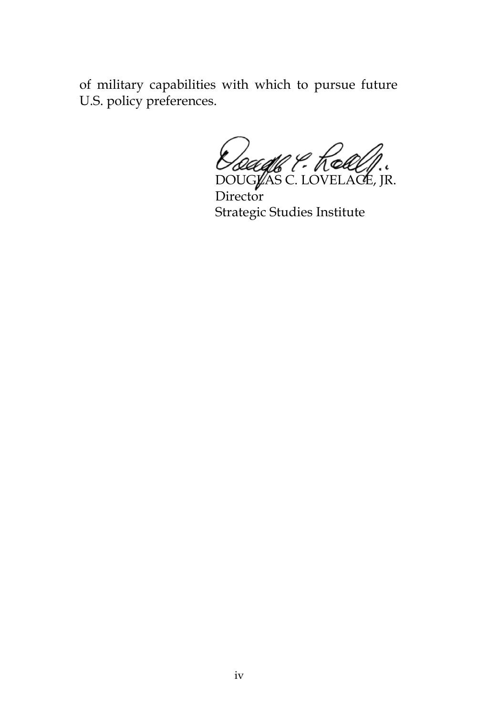of military capabilities with which to pursue future U.S. policy preferences.

*Dougle P. Kolley.* 

**Director** Strategic Studies Institute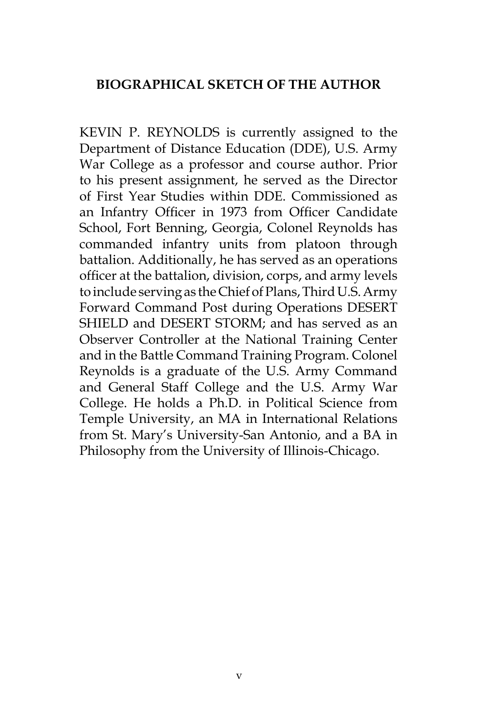# **BIOGRAPHICAL SKETCH OF THE AUTHOR**

KEVIN P. REYNOLDS is currently assigned to the Department of Distance Education (DDE), U.S. Army War College as a professor and course author. Prior to his present assignment, he served as the Director of First Year Studies within DDE. Commissioned as an Infantry Officer in 1973 from Officer Candidate School, Fort Benning, Georgia, Colonel Reynolds has commanded infantry units from platoon through battalion. Additionally, he has served as an operations officer at the battalion, division, corps, and army levels to include serving as the Chief of Plans, Third U.S. Army Forward Command Post during Operations DESERT SHIELD and DESERT STORM; and has served as an Observer Controller at the National Training Center and in the Battle Command Training Program. Colonel Reynolds is a graduate of the U.S. Army Command and General Staff College and the U.S. Army War College. He holds a Ph.D. in Political Science from Temple University, an MA in International Relations from St. Mary's University-San Antonio, and a BA in Philosophy from the University of Illinois-Chicago.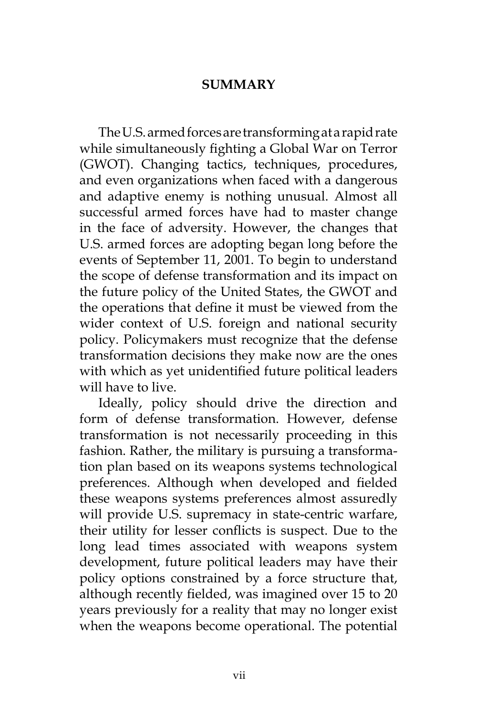# **SUMMARY**

The U.S. armed forces are transforming at a rapid rate while simultaneously fighting a Global War on Terror (GWOT). Changing tactics, techniques, procedures, and even organizations when faced with a dangerous and adaptive enemy is nothing unusual. Almost all successful armed forces have had to master change in the face of adversity. However, the changes that U.S. armed forces are adopting began long before the events of September 11, 2001. To begin to understand the scope of defense transformation and its impact on the future policy of the United States, the GWOT and the operations that define it must be viewed from the wider context of U.S. foreign and national security policy. Policymakers must recognize that the defense transformation decisions they make now are the ones with which as yet unidentified future political leaders will have to live.

Ideally, policy should drive the direction and form of defense transformation. However, defense transformation is not necessarily proceeding in this fashion. Rather, the military is pursuing a transformation plan based on its weapons systems technological preferences. Although when developed and fielded these weapons systems preferences almost assuredly will provide U.S. supremacy in state-centric warfare, their utility for lesser conflicts is suspect. Due to the long lead times associated with weapons system development, future political leaders may have their policy options constrained by a force structure that, although recently fielded, was imagined over 15 to 20 years previously for a reality that may no longer exist when the weapons become operational. The potential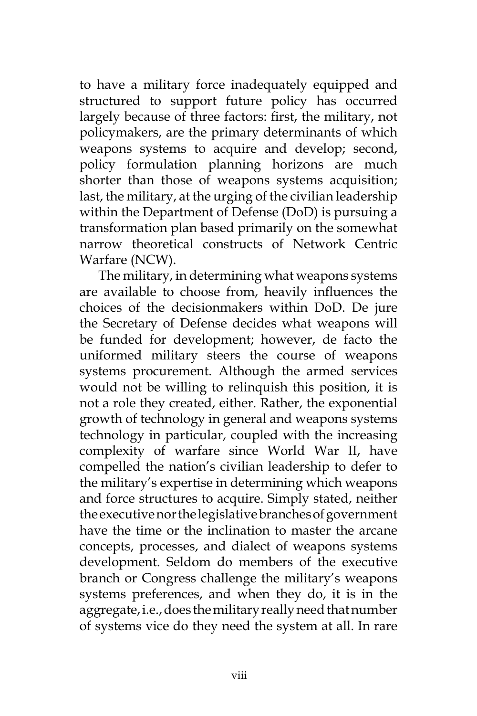to have a military force inadequately equipped and structured to support future policy has occurred largely because of three factors: first, the military, not policymakers, are the primary determinants of which weapons systems to acquire and develop; second, policy formulation planning horizons are much shorter than those of weapons systems acquisition; last, the military, at the urging of the civilian leadership within the Department of Defense (DoD) is pursuing a transformation plan based primarily on the somewhat narrow theoretical constructs of Network Centric Warfare (NCW).

The military, in determining what weapons systems are available to choose from, heavily influences the choices of the decisionmakers within DoD. De jure the Secretary of Defense decides what weapons will be funded for development; however, de facto the uniformed military steers the course of weapons systems procurement. Although the armed services would not be willing to relinquish this position, it is not a role they created, either. Rather, the exponential growth of technology in general and weapons systems technology in particular, coupled with the increasing complexity of warfare since World War II, have compelled the nation's civilian leadership to defer to the military's expertise in determining which weapons and force structures to acquire. Simply stated, neither the executive nor the legislative branches of government have the time or the inclination to master the arcane concepts, processes, and dialect of weapons systems development. Seldom do members of the executive branch or Congress challenge the military's weapons systems preferences, and when they do, it is in the aggregate, i.e., does the military really need that number of systems vice do they need the system at all. In rare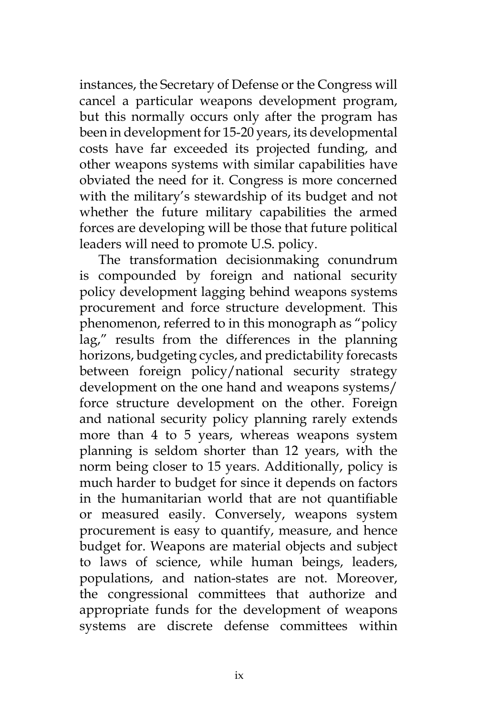instances, the Secretary of Defense or the Congress will cancel a particular weapons development program, but this normally occurs only after the program has been in development for 15-20 years, its developmental costs have far exceeded its projected funding, and other weapons systems with similar capabilities have obviated the need for it. Congress is more concerned with the military's stewardship of its budget and not whether the future military capabilities the armed forces are developing will be those that future political leaders will need to promote U.S. policy.

The transformation decisionmaking conundrum is compounded by foreign and national security policy development lagging behind weapons systems procurement and force structure development. This phenomenon, referred to in this monograph as "policy lag," results from the differences in the planning horizons, budgeting cycles, and predictability forecasts between foreign policy/national security strategy development on the one hand and weapons systems/ force structure development on the other. Foreign and national security policy planning rarely extends more than 4 to 5 years, whereas weapons system planning is seldom shorter than 12 years, with the norm being closer to 15 years. Additionally, policy is much harder to budget for since it depends on factors in the humanitarian world that are not quantifiable or measured easily. Conversely, weapons system procurement is easy to quantify, measure, and hence budget for. Weapons are material objects and subject to laws of science, while human beings, leaders, populations, and nation-states are not. Moreover, the congressional committees that authorize and appropriate funds for the development of weapons systems are discrete defense committees within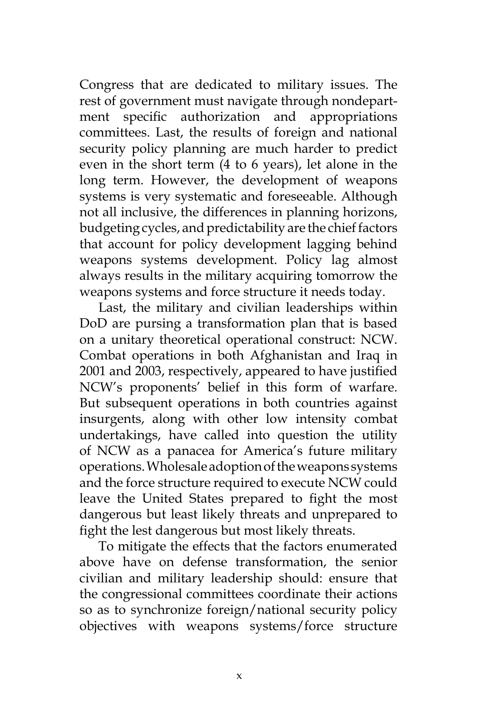Congress that are dedicated to military issues. The rest of government must navigate through nondepartment specific authorization and appropriations committees. Last, the results of foreign and national security policy planning are much harder to predict even in the short term (4 to 6 years), let alone in the long term. However, the development of weapons systems is very systematic and foreseeable. Although not all inclusive, the differences in planning horizons, budgeting cycles, and predictability are the chief factors that account for policy development lagging behind weapons systems development. Policy lag almost always results in the military acquiring tomorrow the weapons systems and force structure it needs today.

Last, the military and civilian leaderships within DoD are pursing a transformation plan that is based on a unitary theoretical operational construct: NCW. Combat operations in both Afghanistan and Iraq in 2001 and 2003, respectively, appeared to have justified NCW's proponents' belief in this form of warfare. But subsequent operations in both countries against insurgents, along with other low intensity combat undertakings, have called into question the utility of NCW as a panacea for America's future military operations. Wholesale adoption of the weapons systems and the force structure required to execute NCW could leave the United States prepared to fight the most dangerous but least likely threats and unprepared to fight the lest dangerous but most likely threats.

To mitigate the effects that the factors enumerated above have on defense transformation, the senior civilian and military leadership should: ensure that the congressional committees coordinate their actions so as to synchronize foreign/national security policy objectives with weapons systems/force structure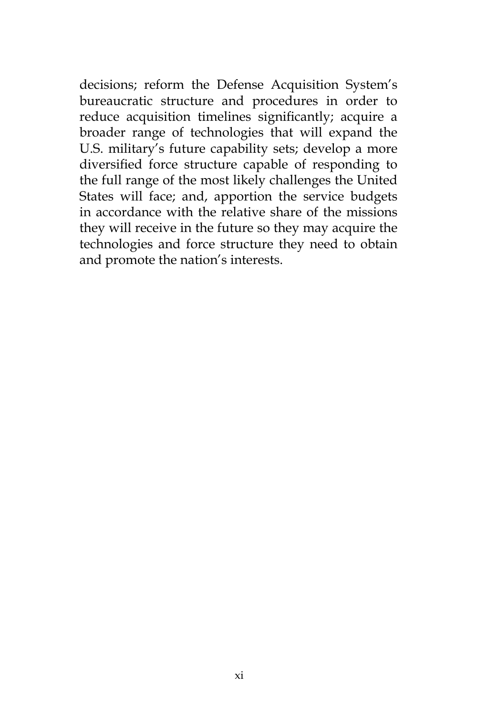decisions; reform the Defense Acquisition System's bureaucratic structure and procedures in order to reduce acquisition timelines significantly; acquire a broader range of technologies that will expand the U.S. military's future capability sets; develop a more diversified force structure capable of responding to the full range of the most likely challenges the United States will face; and, apportion the service budgets in accordance with the relative share of the missions they will receive in the future so they may acquire the technologies and force structure they need to obtain and promote the nation's interests.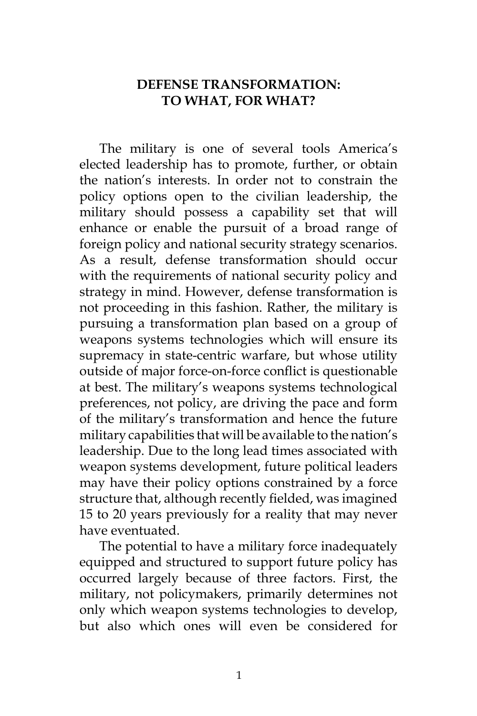# **DEFENSE TRANSFORMATION: TO WHAT, FOR WHAT?**

The military is one of several tools America's elected leadership has to promote, further, or obtain the nation's interests. In order not to constrain the policy options open to the civilian leadership, the military should possess a capability set that will enhance or enable the pursuit of a broad range of foreign policy and national security strategy scenarios. As a result, defense transformation should occur with the requirements of national security policy and strategy in mind. However, defense transformation is not proceeding in this fashion. Rather, the military is pursuing a transformation plan based on a group of weapons systems technologies which will ensure its supremacy in state-centric warfare, but whose utility outside of major force-on-force conflict is questionable at best. The military's weapons systems technological preferences, not policy, are driving the pace and form of the military's transformation and hence the future military capabilities that will be available to the nation's leadership. Due to the long lead times associated with weapon systems development, future political leaders may have their policy options constrained by a force structure that, although recently fielded, was imagined 15 to 20 years previously for a reality that may never have eventuated.

The potential to have a military force inadequately equipped and structured to support future policy has occurred largely because of three factors. First, the military, not policymakers, primarily determines not only which weapon systems technologies to develop, but also which ones will even be considered for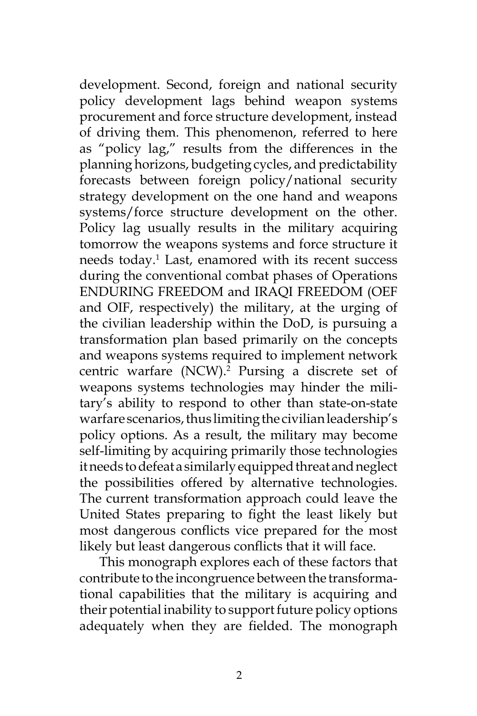development. Second, foreign and national security policy development lags behind weapon systems procurement and force structure development, instead of driving them. This phenomenon, referred to here as "policy lag," results from the differences in the planning horizons, budgeting cycles, and predictability forecasts between foreign policy/national security strategy development on the one hand and weapons systems/force structure development on the other. Policy lag usually results in the military acquiring tomorrow the weapons systems and force structure it needs today.<sup>1</sup> Last, enamored with its recent success during the conventional combat phases of Operations ENDURING FREEDOM and IRAQI FREEDOM (OEF and OIF, respectively) the military, at the urging of the civilian leadership within the DoD, is pursuing a transformation plan based primarily on the concepts and weapons systems required to implement network centric warfare (NCW).2 Pursing a discrete set of weapons systems technologies may hinder the military's ability to respond to other than state-on-state warfare scenarios, thus limiting the civilian leadership's policy options. As a result, the military may become self-limiting by acquiring primarily those technologies it needs to defeat a similarly equipped threat and neglect the possibilities offered by alternative technologies. The current transformation approach could leave the United States preparing to fight the least likely but most dangerous conflicts vice prepared for the most likely but least dangerous conflicts that it will face.

This monograph explores each of these factors that contribute to the incongruence between the transformational capabilities that the military is acquiring and their potential inability to support future policy options adequately when they are fielded. The monograph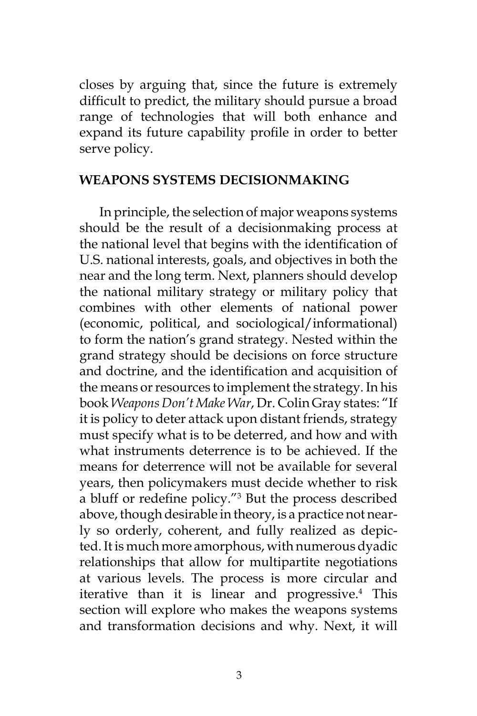closes by arguing that, since the future is extremely difficult to predict, the military should pursue a broad range of technologies that will both enhance and expand its future capability profile in order to better serve policy.

### **WEAPONS SYSTEMS DECISIONMAKING**

In principle, the selection of major weapons systems should be the result of a decisionmaking process at the national level that begins with the identification of U.S. national interests, goals, and objectives in both the near and the long term. Next, planners should develop the national military strategy or military policy that combines with other elements of national power (economic, political, and sociological/informational) to form the nation's grand strategy. Nested within the grand strategy should be decisions on force structure and doctrine, and the identification and acquisition of the means or resources to implement the strategy. In his book *Weapons Don't Make War*, Dr. Colin Gray states: "If it is policy to deter attack upon distant friends, strategy must specify what is to be deterred, and how and with what instruments deterrence is to be achieved. If the means for deterrence will not be available for several years, then policymakers must decide whether to risk a bluff or redefine policy."<sup>3</sup> But the process described above, though desirable in theory, is a practice not nearly so orderly, coherent, and fully realized as depicted. It is much more amorphous, with numerous dyadic relationships that allow for multipartite negotiations at various levels. The process is more circular and iterative than it is linear and progressive.<sup>4</sup> This section will explore who makes the weapons systems and transformation decisions and why. Next, it will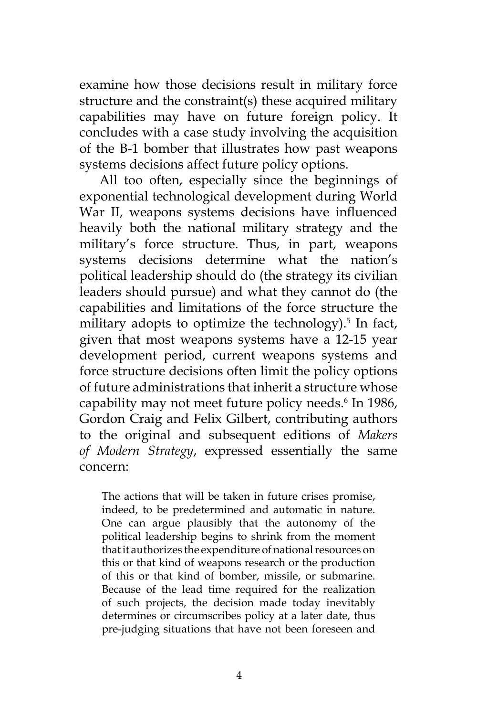examine how those decisions result in military force structure and the constraint(s) these acquired military capabilities may have on future foreign policy. It concludes with a case study involving the acquisition of the B-1 bomber that illustrates how past weapons systems decisions affect future policy options.

All too often, especially since the beginnings of exponential technological development during World War II, weapons systems decisions have influenced heavily both the national military strategy and the military's force structure. Thus, in part, weapons systems decisions determine what the nation's political leadership should do (the strategy its civilian leaders should pursue) and what they cannot do (the capabilities and limitations of the force structure the military adopts to optimize the technology).<sup>5</sup> In fact, given that most weapons systems have a 12-15 year development period, current weapons systems and force structure decisions often limit the policy options of future administrations that inherit a structure whose capability may not meet future policy needs.6 In 1986, Gordon Craig and Felix Gilbert, contributing authors to the original and subsequent editions of *Makers of Modern Strategy*, expressed essentially the same concern:

The actions that will be taken in future crises promise, indeed, to be predetermined and automatic in nature. One can argue plausibly that the autonomy of the political leadership begins to shrink from the moment that it authorizes the expenditure of national resources on this or that kind of weapons research or the production of this or that kind of bomber, missile, or submarine. Because of the lead time required for the realization of such projects, the decision made today inevitably determines or circumscribes policy at a later date, thus pre-judging situations that have not been foreseen and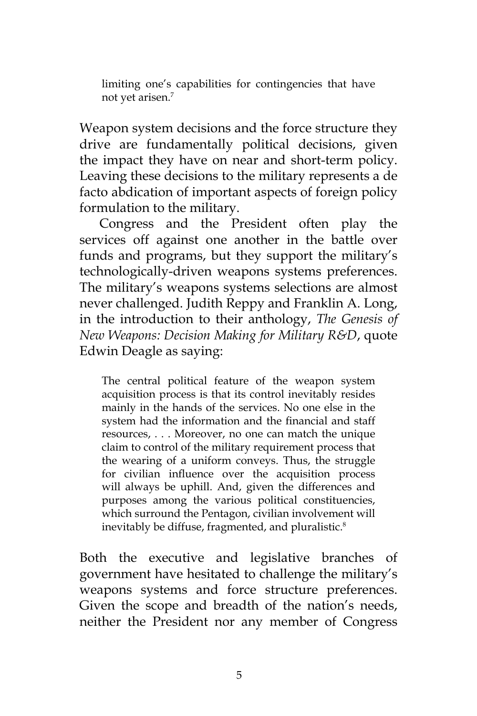limiting one's capabilities for contingencies that have not yet arisen.7

Weapon system decisions and the force structure they drive are fundamentally political decisions, given the impact they have on near and short-term policy. Leaving these decisions to the military represents a de facto abdication of important aspects of foreign policy formulation to the military.

Congress and the President often play the services off against one another in the battle over funds and programs, but they support the military's technologically-driven weapons systems preferences. The military's weapons systems selections are almost never challenged. Judith Reppy and Franklin A. Long, in the introduction to their anthology, *The Genesis of New Weapons: Decision Making for Military R&D*, quote Edwin Deagle as saying:

The central political feature of the weapon system acquisition process is that its control inevitably resides mainly in the hands of the services. No one else in the system had the information and the financial and staff resources, . . . Moreover, no one can match the unique claim to control of the military requirement process that the wearing of a uniform conveys. Thus, the struggle for civilian influence over the acquisition process will always be uphill. And, given the differences and purposes among the various political constituencies, which surround the Pentagon, civilian involvement will inevitably be diffuse, fragmented, and pluralistic.<sup>8</sup>

Both the executive and legislative branches of government have hesitated to challenge the military's weapons systems and force structure preferences. Given the scope and breadth of the nation's needs, neither the President nor any member of Congress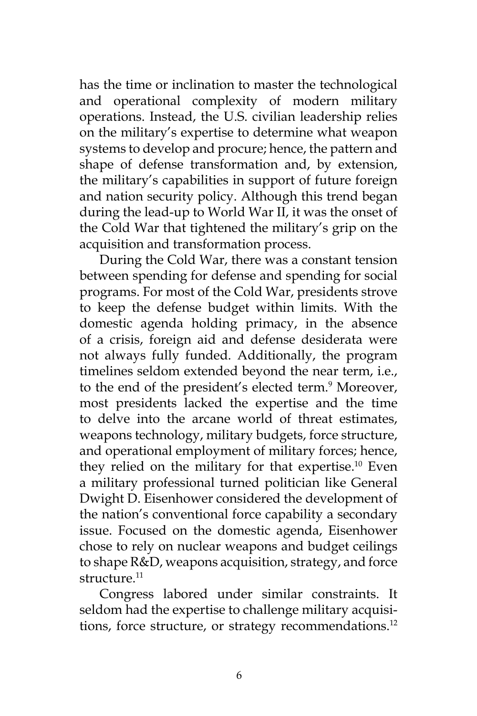has the time or inclination to master the technological and operational complexity of modern military operations. Instead, the U.S. civilian leadership relies on the military's expertise to determine what weapon systems to develop and procure; hence, the pattern and shape of defense transformation and, by extension, the military's capabilities in support of future foreign and nation security policy. Although this trend began during the lead-up to World War II, it was the onset of the Cold War that tightened the military's grip on the acquisition and transformation process.

During the Cold War, there was a constant tension between spending for defense and spending for social programs. For most of the Cold War, presidents strove to keep the defense budget within limits. With the domestic agenda holding primacy, in the absence of a crisis, foreign aid and defense desiderata were not always fully funded. Additionally, the program timelines seldom extended beyond the near term, i.e., to the end of the president's elected term.<sup>9</sup> Moreover, most presidents lacked the expertise and the time to delve into the arcane world of threat estimates, weapons technology, military budgets, force structure, and operational employment of military forces; hence, they relied on the military for that expertise.<sup>10</sup> Even a military professional turned politician like General Dwight D. Eisenhower considered the development of the nation's conventional force capability a secondary issue. Focused on the domestic agenda, Eisenhower chose to rely on nuclear weapons and budget ceilings to shape R&D, weapons acquisition, strategy, and force structure.<sup>11</sup>

Congress labored under similar constraints. It seldom had the expertise to challenge military acquisitions, force structure, or strategy recommendations.<sup>12</sup>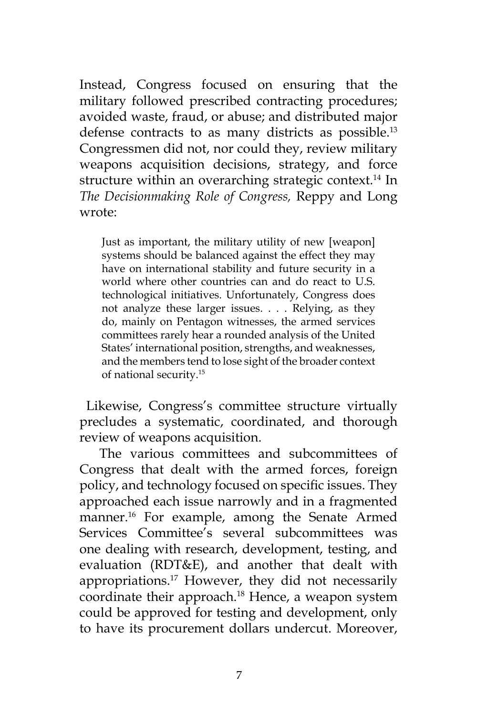Instead, Congress focused on ensuring that the military followed prescribed contracting procedures; avoided waste, fraud, or abuse; and distributed major defense contracts to as many districts as possible.13 Congressmen did not, nor could they, review military weapons acquisition decisions, strategy, and force structure within an overarching strategic context.<sup>14</sup> In *The Decisionmaking Role of Congress,* Reppy and Long wrote:

Just as important, the military utility of new [weapon] systems should be balanced against the effect they may have on international stability and future security in a world where other countries can and do react to U.S. technological initiatives. Unfortunately, Congress does not analyze these larger issues. . . . Relying, as they do, mainly on Pentagon witnesses, the armed services committees rarely hear a rounded analysis of the United States' international position, strengths, and weaknesses, and the members tend to lose sight of the broader context of national security.15

 Likewise, Congress's committee structure virtually precludes a systematic, coordinated, and thorough review of weapons acquisition.

The various committees and subcommittees of Congress that dealt with the armed forces, foreign policy, and technology focused on specific issues. They approached each issue narrowly and in a fragmented manner.16 For example, among the Senate Armed Services Committee's several subcommittees was one dealing with research, development, testing, and evaluation (RDT&E), and another that dealt with appropriations.<sup>17</sup> However, they did not necessarily coordinate their approach.18 Hence, a weapon system could be approved for testing and development, only to have its procurement dollars undercut. Moreover,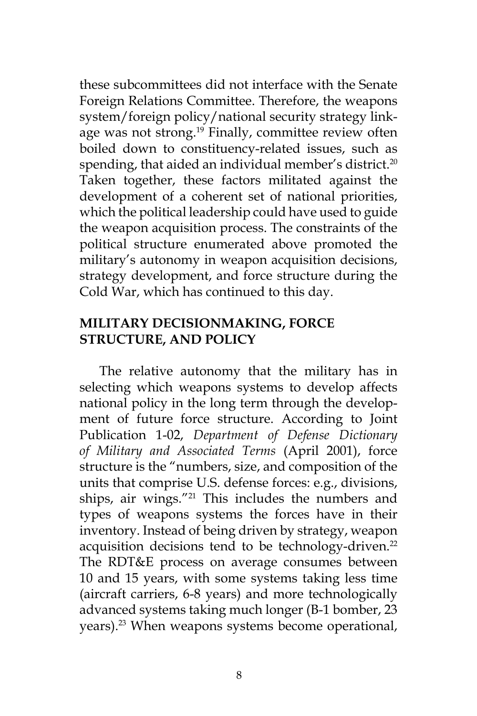these subcommittees did not interface with the Senate Foreign Relations Committee. Therefore, the weapons system/foreign policy/national security strategy linkage was not strong.<sup>19</sup> Finally, committee review often boiled down to constituency-related issues, such as spending, that aided an individual member's district.<sup>20</sup> Taken together, these factors militated against the development of a coherent set of national priorities, which the political leadership could have used to guide the weapon acquisition process. The constraints of the political structure enumerated above promoted the military's autonomy in weapon acquisition decisions, strategy development, and force structure during the Cold War, which has continued to this day.

# **MILITARY DECISIONMAKING, FORCE STRUCTURE, AND POLICY**

The relative autonomy that the military has in selecting which weapons systems to develop affects national policy in the long term through the development of future force structure. According to Joint Publication 1-02, *Department of Defense Dictionary of Military and Associated Terms* (April 2001), force structure is the "numbers, size, and composition of the units that comprise U.S. defense forces: e.g., divisions, ships, air wings."<sup>21</sup> This includes the numbers and types of weapons systems the forces have in their inventory. Instead of being driven by strategy, weapon acquisition decisions tend to be technology-driven.<sup>22</sup> The RDT&E process on average consumes between 10 and 15 years, with some systems taking less time (aircraft carriers, 6-8 years) and more technologically advanced systems taking much longer (B-1 bomber, 23 years).<sup>23</sup> When weapons systems become operational,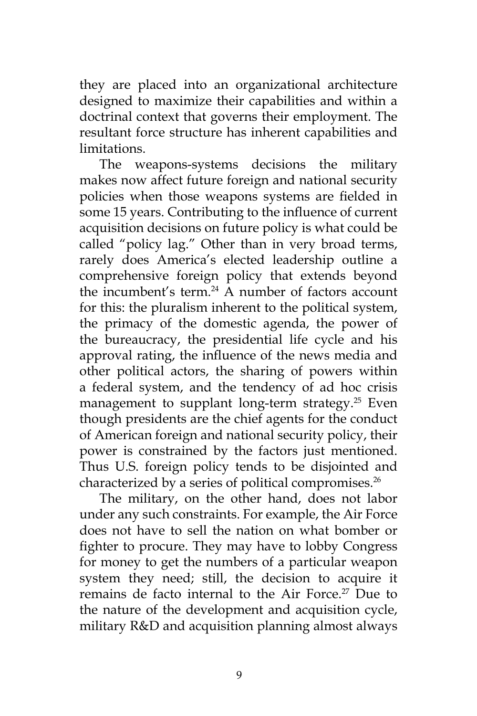they are placed into an organizational architecture designed to maximize their capabilities and within a doctrinal context that governs their employment. The resultant force structure has inherent capabilities and limitations.

The weapons-systems decisions the military makes now affect future foreign and national security policies when those weapons systems are fielded in some 15 years. Contributing to the influence of current acquisition decisions on future policy is what could be called "policy lag." Other than in very broad terms, rarely does America's elected leadership outline a comprehensive foreign policy that extends beyond the incumbent's term.<sup>24</sup> A number of factors account for this: the pluralism inherent to the political system, the primacy of the domestic agenda, the power of the bureaucracy, the presidential life cycle and his approval rating, the influence of the news media and other political actors, the sharing of powers within a federal system, and the tendency of ad hoc crisis management to supplant long-term strategy.<sup>25</sup> Even though presidents are the chief agents for the conduct of American foreign and national security policy, their power is constrained by the factors just mentioned. Thus U.S. foreign policy tends to be disjointed and characterized by a series of political compromises.<sup>26</sup>

The military, on the other hand, does not labor under any such constraints. For example, the Air Force does not have to sell the nation on what bomber or fighter to procure. They may have to lobby Congress for money to get the numbers of a particular weapon system they need; still, the decision to acquire it remains de facto internal to the Air Force.<sup>27</sup> Due to the nature of the development and acquisition cycle, military R&D and acquisition planning almost always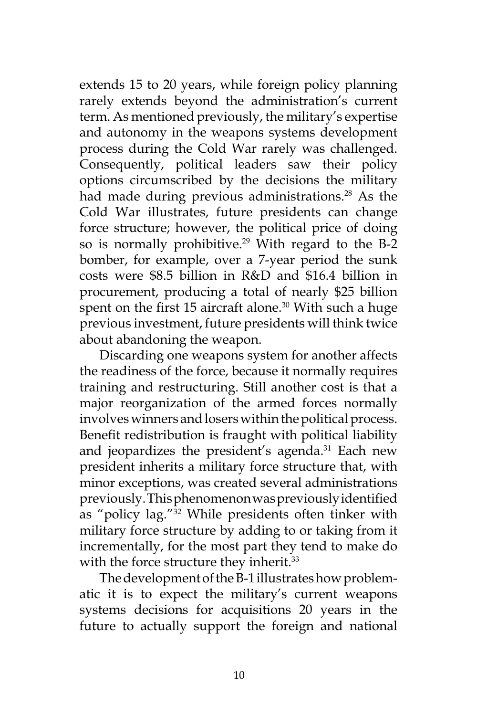extends 15 to 20 years, while foreign policy planning rarely extends beyond the administration's current term. As mentioned previously, the military's expertise and autonomy in the weapons systems development process during the Cold War rarely was challenged. Consequently, political leaders saw their policy options circumscribed by the decisions the military had made during previous administrations.<sup>28</sup> As the Cold War illustrates, future presidents can change force structure; however, the political price of doing so is normally prohibitive.<sup>29</sup> With regard to the B-2 bomber, for example, over a 7-year period the sunk costs were \$8.5 billion in R&D and \$16.4 billion in procurement, producing a total of nearly \$25 billion spent on the first 15 aircraft alone.<sup>30</sup> With such a huge previous investment, future presidents will think twice about abandoning the weapon.

Discarding one weapons system for another affects the readiness of the force, because it normally requires training and restructuring. Still another cost is that a major reorganization of the armed forces normally involves winners and losers within the political process. Benefit redistribution is fraught with political liability and jeopardizes the president's agenda.<sup>31</sup> Each new president inherits a military force structure that, with minor exceptions, was created several administrations previously. This phenomenon was previously identified as "policy lag."32 While presidents often tinker with military force structure by adding to or taking from it incrementally, for the most part they tend to make do with the force structure they inherit.<sup>33</sup>

The development of the B-1 illustrates how problematic it is to expect the military's current weapons systems decisions for acquisitions 20 years in the future to actually support the foreign and national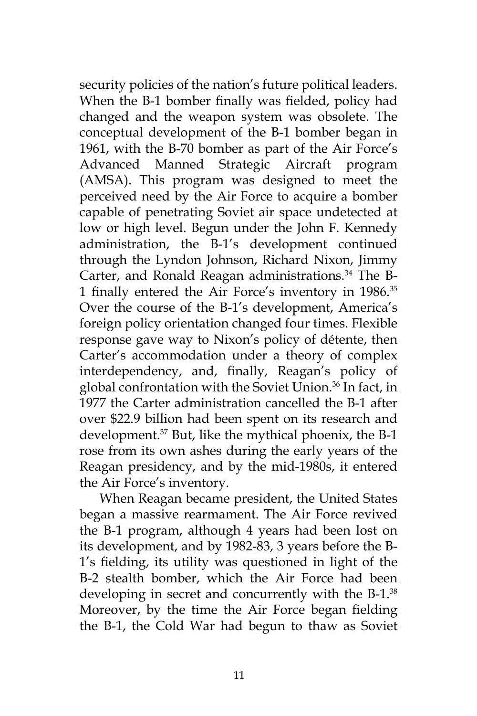security policies of the nation's future political leaders. When the B-1 bomber finally was fielded, policy had changed and the weapon system was obsolete. The conceptual development of the B-1 bomber began in 1961, with the B-70 bomber as part of the Air Force's Advanced Manned Strategic Aircraft program (AMSA). This program was designed to meet the perceived need by the Air Force to acquire a bomber capable of penetrating Soviet air space undetected at low or high level. Begun under the John F. Kennedy administration, the B-1's development continued through the Lyndon Johnson, Richard Nixon, Jimmy Carter, and Ronald Reagan administrations.<sup>34</sup> The B-1 finally entered the Air Force's inventory in 1986.<sup>35</sup> Over the course of the B-1's development, America's foreign policy orientation changed four times. Flexible response gave way to Nixon's policy of détente, then Carter's accommodation under a theory of complex interdependency, and, finally, Reagan's policy of global confrontation with the Soviet Union.36 In fact, in 1977 the Carter administration cancelled the B-1 after over \$22.9 billion had been spent on its research and development.<sup>37</sup> But, like the mythical phoenix, the B-1 rose from its own ashes during the early years of the Reagan presidency, and by the mid-1980s, it entered the Air Force's inventory.

When Reagan became president, the United States began a massive rearmament. The Air Force revived the B-1 program, although 4 years had been lost on its development, and by 1982-83, 3 years before the B-1's fielding, its utility was questioned in light of the B-2 stealth bomber, which the Air Force had been developing in secret and concurrently with the B-1.<sup>38</sup> Moreover, by the time the Air Force began fielding the B-1, the Cold War had begun to thaw as Soviet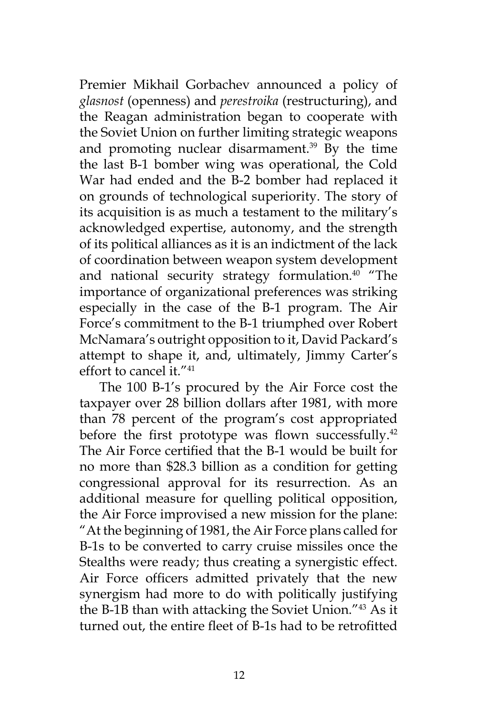Premier Mikhail Gorbachev announced a policy of *glasnost* (openness) and *perestroika* (restructuring), and the Reagan administration began to cooperate with the Soviet Union on further limiting strategic weapons and promoting nuclear disarmament.<sup>39</sup> By the time the last B-1 bomber wing was operational, the Cold War had ended and the B-2 bomber had replaced it on grounds of technological superiority. The story of its acquisition is as much a testament to the military's acknowledged expertise, autonomy, and the strength of its political alliances as it is an indictment of the lack of coordination between weapon system development and national security strategy formulation.<sup>40</sup> "The importance of organizational preferences was striking especially in the case of the B-1 program. The Air Force's commitment to the B-1 triumphed over Robert McNamara's outright opposition to it, David Packard's attempt to shape it, and, ultimately, Jimmy Carter's effort to cancel it."41

The 100 B-1's procured by the Air Force cost the taxpayer over 28 billion dollars after 1981, with more than 78 percent of the program's cost appropriated before the first prototype was flown successfully.<sup>42</sup> The Air Force certified that the B-1 would be built for no more than \$28.3 billion as a condition for getting congressional approval for its resurrection. As an additional measure for quelling political opposition, the Air Force improvised a new mission for the plane: "At the beginning of 1981, the Air Force plans called for B-1s to be converted to carry cruise missiles once the Stealths were ready; thus creating a synergistic effect. Air Force officers admitted privately that the new synergism had more to do with politically justifying the B-1B than with attacking the Soviet Union."43 As it turned out, the entire fleet of B-1s had to be retrofitted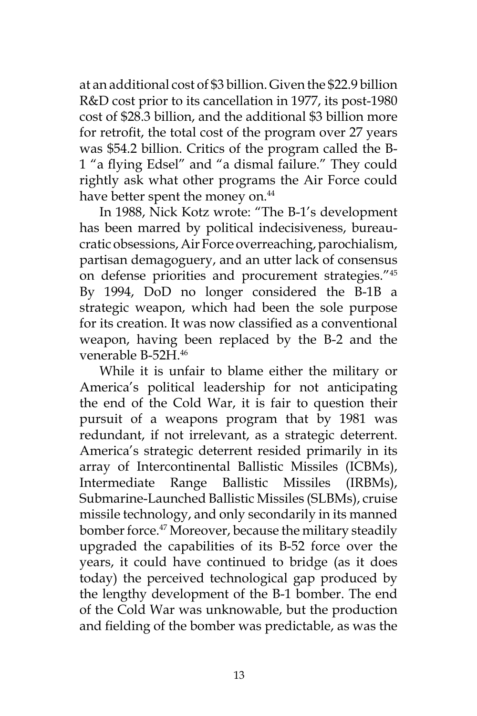at an additional cost of \$3 billion. Given the \$22.9 billion R&D cost prior to its cancellation in 1977, its post-1980 cost of \$28.3 billion, and the additional \$3 billion more for retrofit, the total cost of the program over 27 years was \$54.2 billion. Critics of the program called the B-1 "a flying Edsel" and "a dismal failure." They could rightly ask what other programs the Air Force could have better spent the money on.<sup>44</sup>

In 1988, Nick Kotz wrote: "The B-1's development has been marred by political indecisiveness, bureaucratic obsessions, Air Force overreaching, parochialism, partisan demagoguery, and an utter lack of consensus on defense priorities and procurement strategies."45 By 1994, DoD no longer considered the B-1B a strategic weapon, which had been the sole purpose for its creation. It was now classified as a conventional weapon, having been replaced by the B-2 and the venerable B-52H.46

While it is unfair to blame either the military or America's political leadership for not anticipating the end of the Cold War, it is fair to question their pursuit of a weapons program that by 1981 was redundant, if not irrelevant, as a strategic deterrent. America's strategic deterrent resided primarily in its array of Intercontinental Ballistic Missiles (ICBMs), Intermediate Range Ballistic Missiles (IRBMs), Submarine-Launched Ballistic Missiles (SLBMs), cruise missile technology, and only secondarily in its manned bomber force.<sup>47</sup> Moreover, because the military steadily upgraded the capabilities of its B-52 force over the years, it could have continued to bridge (as it does today) the perceived technological gap produced by the lengthy development of the B-1 bomber. The end of the Cold War was unknowable, but the production and fielding of the bomber was predictable, as was the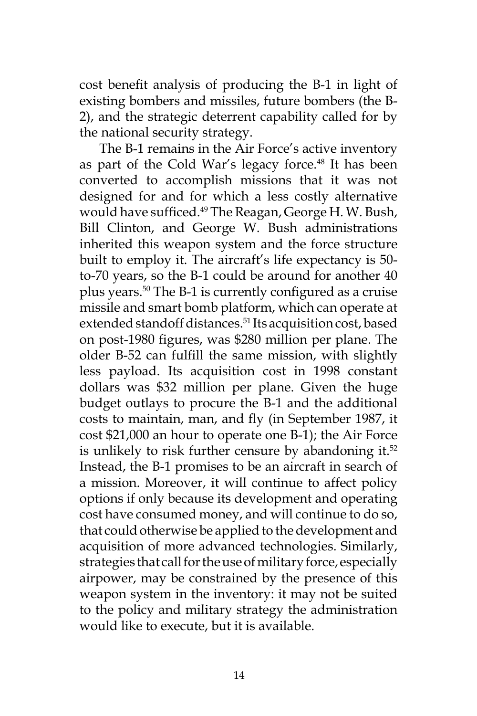cost benefit analysis of producing the B-1 in light of existing bombers and missiles, future bombers (the B-2), and the strategic deterrent capability called for by the national security strategy.

The B-1 remains in the Air Force's active inventory as part of the Cold War's legacy force.<sup>48</sup> It has been converted to accomplish missions that it was not designed for and for which a less costly alternative would have sufficed.<sup>49</sup> The Reagan, George H.W. Bush, Bill Clinton, and George W. Bush administrations inherited this weapon system and the force structure built to employ it. The aircraft's life expectancy is 50 to-70 years, so the B-1 could be around for another 40 plus years.50 The B-1 is currently configured as a cruise missile and smart bomb platform, which can operate at extended standoff distances.<sup>51</sup> Its acquisition cost, based on post-1980 figures, was \$280 million per plane. The older B-52 can fulfill the same mission, with slightly less payload. Its acquisition cost in 1998 constant dollars was \$32 million per plane. Given the huge budget outlays to procure the B-1 and the additional costs to maintain, man, and fly (in September 1987, it cost \$21,000 an hour to operate one B-1); the Air Force is unlikely to risk further censure by abandoning it. $52$ Instead, the B-1 promises to be an aircraft in search of a mission. Moreover, it will continue to affect policy options if only because its development and operating cost have consumed money, and will continue to do so, that could otherwise be applied to the development and acquisition of more advanced technologies. Similarly, strategies that call for the use of military force, especially airpower, may be constrained by the presence of this weapon system in the inventory: it may not be suited to the policy and military strategy the administration would like to execute, but it is available.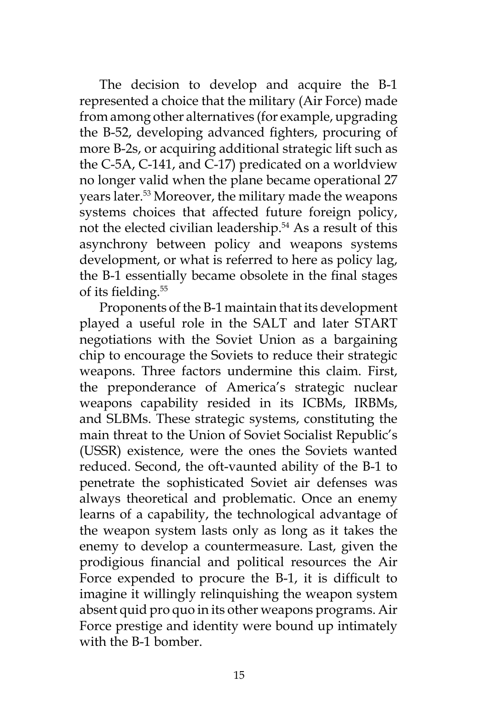The decision to develop and acquire the B-1 represented a choice that the military (Air Force) made from among other alternatives (for example, upgrading the B-52, developing advanced fighters, procuring of more B-2s, or acquiring additional strategic lift such as the C-5A, C-141, and C-17) predicated on a worldview no longer valid when the plane became operational 27 years later.<sup>53</sup> Moreover, the military made the weapons systems choices that affected future foreign policy, not the elected civilian leadership.<sup>54</sup> As a result of this asynchrony between policy and weapons systems development, or what is referred to here as policy lag, the B-1 essentially became obsolete in the final stages of its fielding.<sup>55</sup>

Proponents of the B-1 maintain that its development played a useful role in the SALT and later START negotiations with the Soviet Union as a bargaining chip to encourage the Soviets to reduce their strategic weapons. Three factors undermine this claim. First, the preponderance of America's strategic nuclear weapons capability resided in its ICBMs, IRBMs, and SLBMs. These strategic systems, constituting the main threat to the Union of Soviet Socialist Republic's (USSR) existence, were the ones the Soviets wanted reduced. Second, the oft-vaunted ability of the B-1 to penetrate the sophisticated Soviet air defenses was always theoretical and problematic. Once an enemy learns of a capability, the technological advantage of the weapon system lasts only as long as it takes the enemy to develop a countermeasure. Last, given the prodigious financial and political resources the Air Force expended to procure the B-1, it is difficult to imagine it willingly relinquishing the weapon system absent quid pro quo in its other weapons programs. Air Force prestige and identity were bound up intimately with the B-1 bomber.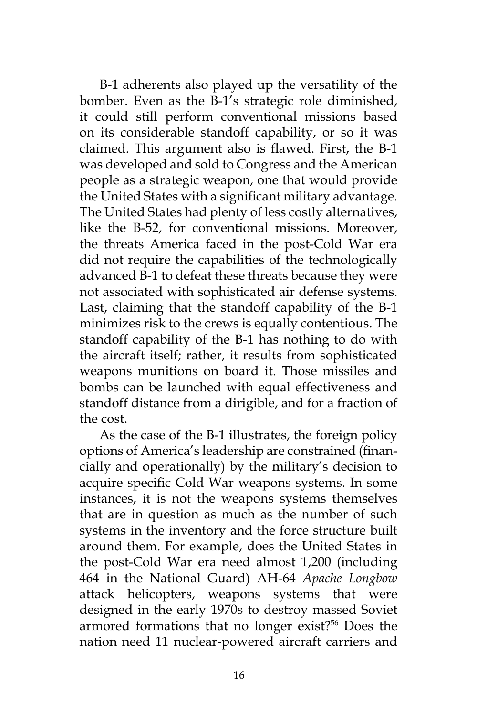B-1 adherents also played up the versatility of the bomber. Even as the B-1's strategic role diminished, it could still perform conventional missions based on its considerable standoff capability, or so it was claimed. This argument also is flawed. First, the B-1 was developed and sold to Congress and the American people as a strategic weapon, one that would provide the United States with a significant military advantage. The United States had plenty of less costly alternatives, like the B-52, for conventional missions. Moreover, the threats America faced in the post-Cold War era did not require the capabilities of the technologically advanced B-1 to defeat these threats because they were not associated with sophisticated air defense systems. Last, claiming that the standoff capability of the B-1 minimizes risk to the crews is equally contentious. The standoff capability of the B-1 has nothing to do with the aircraft itself; rather, it results from sophisticated weapons munitions on board it. Those missiles and bombs can be launched with equal effectiveness and standoff distance from a dirigible, and for a fraction of the cost.

As the case of the B-1 illustrates, the foreign policy options of America's leadership are constrained (financially and operationally) by the military's decision to acquire specific Cold War weapons systems. In some instances, it is not the weapons systems themselves that are in question as much as the number of such systems in the inventory and the force structure built around them. For example, does the United States in the post-Cold War era need almost 1,200 (including 464 in the National Guard) AH-64 *Apache Longbow* attack helicopters, weapons systems that were designed in the early 1970s to destroy massed Soviet armored formations that no longer exist?<sup>56</sup> Does the nation need 11 nuclear-powered aircraft carriers and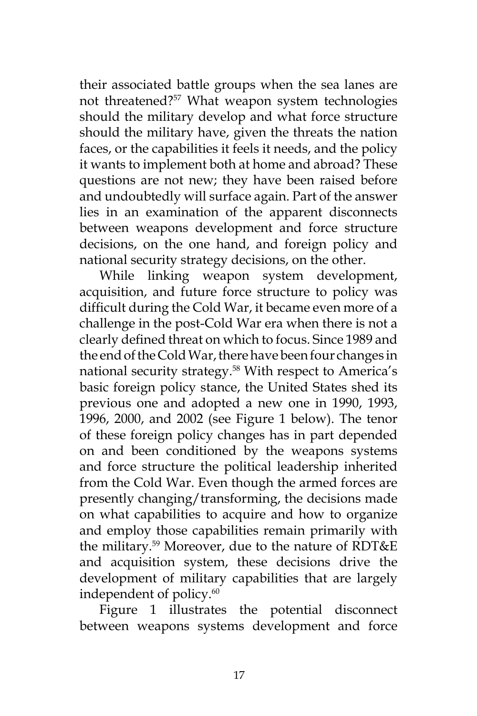their associated battle groups when the sea lanes are not threatened?57 What weapon system technologies should the military develop and what force structure should the military have, given the threats the nation faces, or the capabilities it feels it needs, and the policy it wants to implement both at home and abroad? These questions are not new; they have been raised before and undoubtedly will surface again. Part of the answer lies in an examination of the apparent disconnects between weapons development and force structure decisions, on the one hand, and foreign policy and national security strategy decisions, on the other.

While linking weapon system development, acquisition, and future force structure to policy was difficult during the Cold War, it became even more of a challenge in the post-Cold War era when there is not a clearly defined threat on which to focus. Since 1989 and the end of the Cold War, there have been four changes in national security strategy.<sup>58</sup> With respect to America's basic foreign policy stance, the United States shed its previous one and adopted a new one in 1990, 1993, 1996, 2000, and 2002 (see Figure 1 below). The tenor of these foreign policy changes has in part depended on and been conditioned by the weapons systems and force structure the political leadership inherited from the Cold War. Even though the armed forces are presently changing/transforming, the decisions made on what capabilities to acquire and how to organize and employ those capabilities remain primarily with the military.59 Moreover, due to the nature of RDT&E and acquisition system, these decisions drive the development of military capabilities that are largely independent of policy.<sup>60</sup>

Figure 1 illustrates the potential disconnect between weapons systems development and force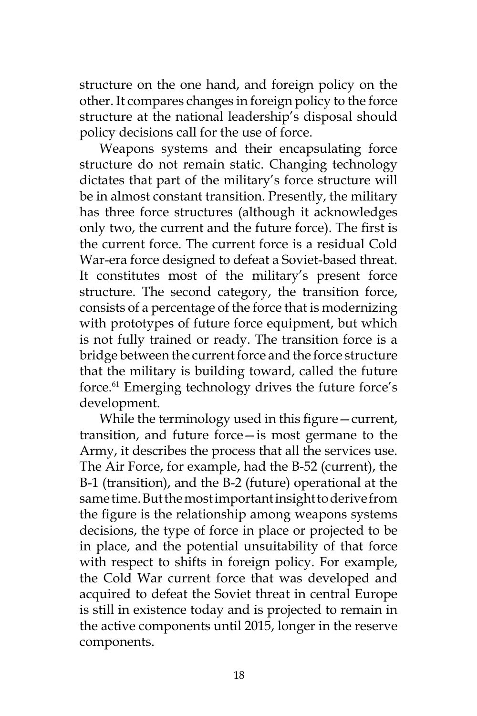structure on the one hand, and foreign policy on the other. It compares changes in foreign policy to the force structure at the national leadership's disposal should policy decisions call for the use of force.

Weapons systems and their encapsulating force structure do not remain static. Changing technology dictates that part of the military's force structure will be in almost constant transition. Presently, the military has three force structures (although it acknowledges only two, the current and the future force). The first is the current force. The current force is a residual Cold War-era force designed to defeat a Soviet-based threat. It constitutes most of the military's present force structure. The second category, the transition force, consists of a percentage of the force that is modernizing with prototypes of future force equipment, but which is not fully trained or ready. The transition force is a bridge between the current force and the force structure that the military is building toward, called the future force.<sup>61</sup> Emerging technology drives the future force's development.

While the terminology used in this figure – current, transition, and future force—is most germane to the Army, it describes the process that all the services use. The Air Force, for example, had the B-52 (current), the B-1 (transition), and the B-2 (future) operational at the same time. But the most important insight to derive from the figure is the relationship among weapons systems decisions, the type of force in place or projected to be in place, and the potential unsuitability of that force with respect to shifts in foreign policy. For example, the Cold War current force that was developed and acquired to defeat the Soviet threat in central Europe is still in existence today and is projected to remain in the active components until 2015, longer in the reserve components.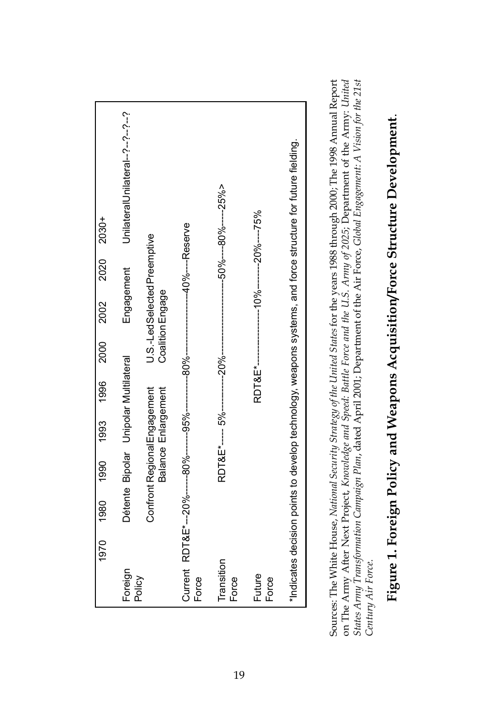

Sources: The White House, National Security Strategy of the United States for the years 1988 through 2000; The 1998 Annual Report Sources: The White House, *National Security Strategy of the United States* for the years 1988 through 2000; The 1998 Annual Report on The Army After Next Project, Knowledge and Speed: Battle Force and the U.S. Army of 2025; Department of the Army: United on The Army After Next Project, *Knowledge and Speed: Battle Force and the U.S. Army of 2025*; Department of the Army: *United*  States Army Transformation Campaign Plan, dated April 2001; Department of the Air Force, Global Engagement: A Vision for the 21st *States Army Transformation Campaign Plan*, dated April 2001; Department of the Air Force, *Global Engagement: A Vision for the 21st*  Century Air Force. *Century Air Force*.

# Figure 1. Foreign Policy and Weapons Acquisition/Force Structure Development. **Figure 1. Foreign Policy and Weapons Acquisition/Force Structure Development**.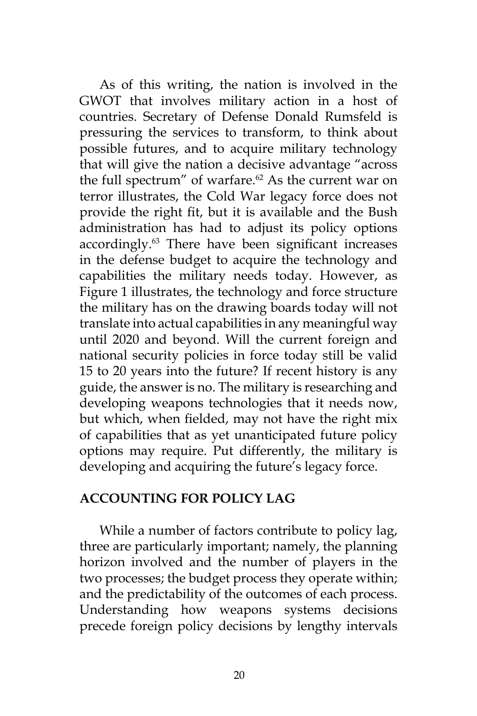As of this writing, the nation is involved in the GWOT that involves military action in a host of countries. Secretary of Defense Donald Rumsfeld is pressuring the services to transform, to think about possible futures, and to acquire military technology that will give the nation a decisive advantage "across the full spectrum" of warfare.<sup>62</sup> As the current war on terror illustrates, the Cold War legacy force does not provide the right fit, but it is available and the Bush administration has had to adjust its policy options accordingly.63 There have been significant increases in the defense budget to acquire the technology and capabilities the military needs today. However, as Figure 1 illustrates, the technology and force structure the military has on the drawing boards today will not translate into actual capabilities in any meaningful way until 2020 and beyond. Will the current foreign and national security policies in force today still be valid 15 to 20 years into the future? If recent history is any guide, the answer is no. The military is researching and developing weapons technologies that it needs now, but which, when fielded, may not have the right mix of capabilities that as yet unanticipated future policy options may require. Put differently, the military is developing and acquiring the future's legacy force.

### **ACCOUNTING FOR POLICY LAG**

While a number of factors contribute to policy lag, three are particularly important; namely, the planning horizon involved and the number of players in the two processes; the budget process they operate within; and the predictability of the outcomes of each process. Understanding how weapons systems decisions precede foreign policy decisions by lengthy intervals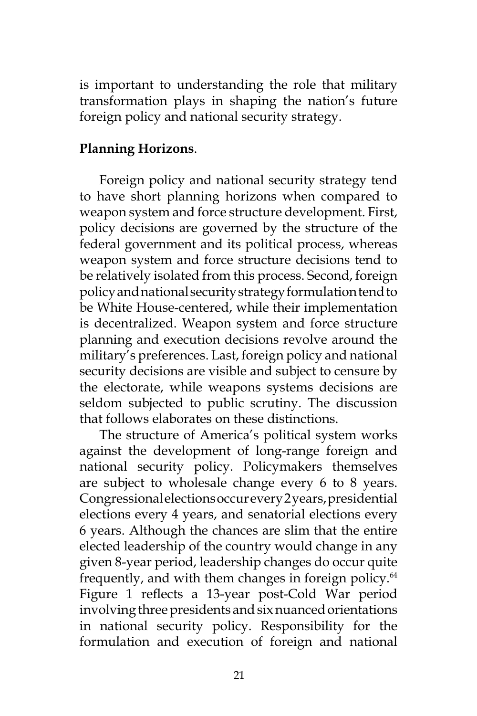is important to understanding the role that military transformation plays in shaping the nation's future foreign policy and national security strategy.

# **Planning Horizons**.

Foreign policy and national security strategy tend to have short planning horizons when compared to weapon system and force structure development. First, policy decisions are governed by the structure of the federal government and its political process, whereas weapon system and force structure decisions tend to be relatively isolated from this process. Second, foreign policy and national security strategy formulation tend to be White House-centered, while their implementation is decentralized. Weapon system and force structure planning and execution decisions revolve around the military's preferences. Last, foreign policy and national security decisions are visible and subject to censure by the electorate, while weapons systems decisions are seldom subjected to public scrutiny. The discussion that follows elaborates on these distinctions.

The structure of America's political system works against the development of long-range foreign and national security policy. Policymakers themselves are subject to wholesale change every 6 to 8 years. Congressional elections occur every 2 years, presidential elections every 4 years, and senatorial elections every 6 years. Although the chances are slim that the entire elected leadership of the country would change in any given 8-year period, leadership changes do occur quite frequently, and with them changes in foreign policy.<sup>64</sup> Figure 1 reflects a 13-year post-Cold War period involving three presidents and six nuanced orientations in national security policy. Responsibility for the formulation and execution of foreign and national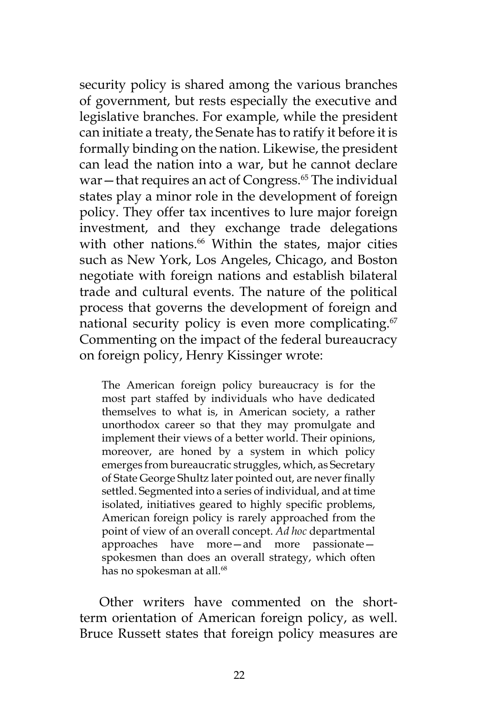security policy is shared among the various branches of government, but rests especially the executive and legislative branches. For example, while the president can initiate a treaty, the Senate has to ratify it before it is formally binding on the nation. Likewise, the president can lead the nation into a war, but he cannot declare war—that requires an act of Congress. $65$  The individual states play a minor role in the development of foreign policy. They offer tax incentives to lure major foreign investment, and they exchange trade delegations with other nations.<sup>66</sup> Within the states, major cities such as New York, Los Angeles, Chicago, and Boston negotiate with foreign nations and establish bilateral trade and cultural events. The nature of the political process that governs the development of foreign and national security policy is even more complicating.<sup>67</sup> Commenting on the impact of the federal bureaucracy on foreign policy, Henry Kissinger wrote:

The American foreign policy bureaucracy is for the most part staffed by individuals who have dedicated themselves to what is, in American society, a rather unorthodox career so that they may promulgate and implement their views of a better world. Their opinions, moreover, are honed by a system in which policy emerges from bureaucratic struggles, which, as Secretary of State George Shultz later pointed out, are never finally settled. Segmented into a series of individual, and at time isolated, initiatives geared to highly specific problems, American foreign policy is rarely approached from the point of view of an overall concept. *Ad hoc* departmental approaches have more—and more passionate spokesmen than does an overall strategy, which often has no spokesman at all.<sup>68</sup>

Other writers have commented on the shortterm orientation of American foreign policy, as well. Bruce Russett states that foreign policy measures are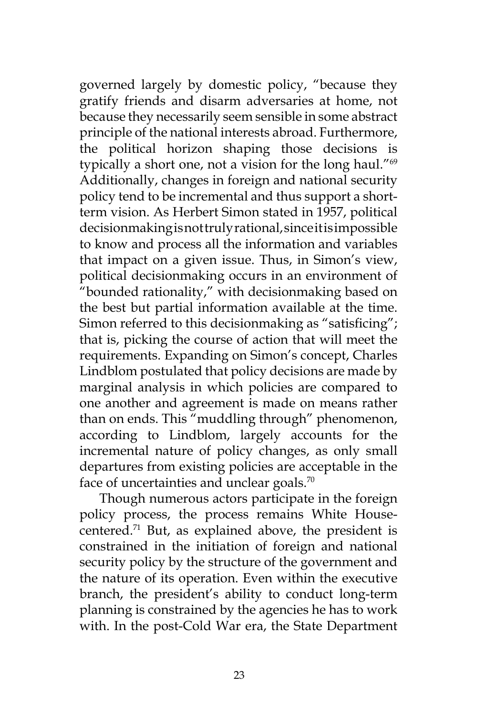governed largely by domestic policy, "because they gratify friends and disarm adversaries at home, not because they necessarily seem sensible in some abstract principle of the national interests abroad. Furthermore, the political horizon shaping those decisions is typically a short one, not a vision for the long haul."69 Additionally, changes in foreign and national security policy tend to be incremental and thus support a shortterm vision. As Herbert Simon stated in 1957, political decisionmaking is not truly rational, since it is impossible to know and process all the information and variables that impact on a given issue. Thus, in Simon's view, political decisionmaking occurs in an environment of "bounded rationality," with decisionmaking based on the best but partial information available at the time. Simon referred to this decisionmaking as "satisficing"; that is, picking the course of action that will meet the requirements. Expanding on Simon's concept, Charles Lindblom postulated that policy decisions are made by marginal analysis in which policies are compared to one another and agreement is made on means rather than on ends. This "muddling through" phenomenon, according to Lindblom, largely accounts for the incremental nature of policy changes, as only small departures from existing policies are acceptable in the face of uncertainties and unclear goals.<sup>70</sup>

Though numerous actors participate in the foreign policy process, the process remains White Housecentered.<sup>71</sup> But, as explained above, the president is constrained in the initiation of foreign and national security policy by the structure of the government and the nature of its operation. Even within the executive branch, the president's ability to conduct long-term planning is constrained by the agencies he has to work with. In the post-Cold War era, the State Department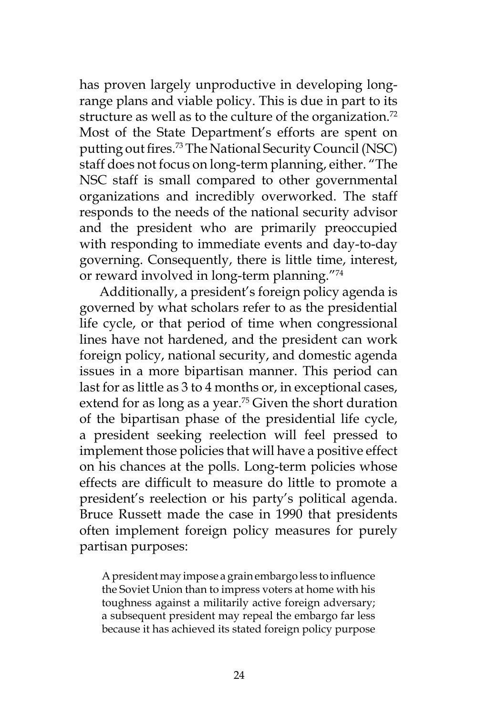has proven largely unproductive in developing longrange plans and viable policy. This is due in part to its structure as well as to the culture of the organization.<sup>72</sup> Most of the State Department's efforts are spent on putting out fires.73 The National Security Council (NSC) staff does not focus on long-term planning, either. "The NSC staff is small compared to other governmental organizations and incredibly overworked. The staff responds to the needs of the national security advisor and the president who are primarily preoccupied with responding to immediate events and day-to-day governing. Consequently, there is little time, interest, or reward involved in long-term planning."74

Additionally, a president's foreign policy agenda is governed by what scholars refer to as the presidential life cycle, or that period of time when congressional lines have not hardened, and the president can work foreign policy, national security, and domestic agenda issues in a more bipartisan manner. This period can last for as little as 3 to 4 months or, in exceptional cases, extend for as long as a year.<sup>75</sup> Given the short duration of the bipartisan phase of the presidential life cycle, a president seeking reelection will feel pressed to implement those policies that will have a positive effect on his chances at the polls. Long-term policies whose effects are difficult to measure do little to promote a president's reelection or his party's political agenda. Bruce Russett made the case in 1990 that presidents often implement foreign policy measures for purely partisan purposes:

A president may impose a grain embargo less to influence the Soviet Union than to impress voters at home with his toughness against a militarily active foreign adversary; a subsequent president may repeal the embargo far less because it has achieved its stated foreign policy purpose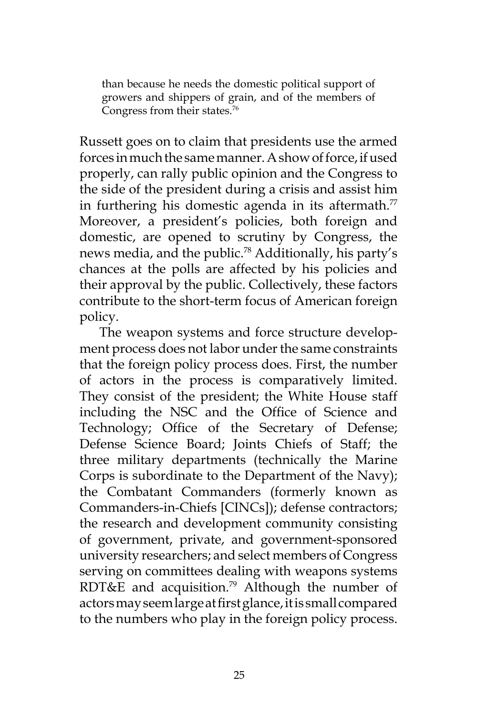than because he needs the domestic political support of growers and shippers of grain, and of the members of Congress from their states.<sup>76</sup>

Russett goes on to claim that presidents use the armed forces in much the same manner. A show of force, if used properly, can rally public opinion and the Congress to the side of the president during a crisis and assist him in furthering his domestic agenda in its aftermath. $\frac{7}{7}$ Moreover, a president's policies, both foreign and domestic, are opened to scrutiny by Congress, the news media, and the public.78 Additionally, his party's chances at the polls are affected by his policies and their approval by the public. Collectively, these factors contribute to the short-term focus of American foreign policy.

The weapon systems and force structure development process does not labor under the same constraints that the foreign policy process does. First, the number of actors in the process is comparatively limited. They consist of the president; the White House staff including the NSC and the Office of Science and Technology; Office of the Secretary of Defense; Defense Science Board; Joints Chiefs of Staff; the three military departments (technically the Marine Corps is subordinate to the Department of the Navy); the Combatant Commanders (formerly known as Commanders-in-Chiefs [CINCs]); defense contractors; the research and development community consisting of government, private, and government-sponsored university researchers; and select members of Congress serving on committees dealing with weapons systems RDT&E and acquisition.<sup>79</sup> Although the number of actors may seem large at first glance, it is small compared to the numbers who play in the foreign policy process.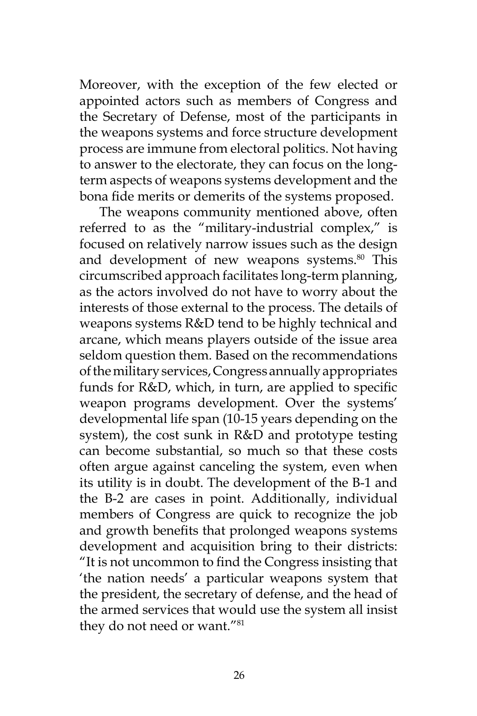Moreover, with the exception of the few elected or appointed actors such as members of Congress and the Secretary of Defense, most of the participants in the weapons systems and force structure development process are immune from electoral politics. Not having to answer to the electorate, they can focus on the longterm aspects of weapons systems development and the bona fide merits or demerits of the systems proposed.

The weapons community mentioned above, often referred to as the "military-industrial complex," is focused on relatively narrow issues such as the design and development of new weapons systems.<sup>80</sup> This circumscribed approach facilitates long-term planning, as the actors involved do not have to worry about the interests of those external to the process. The details of weapons systems R&D tend to be highly technical and arcane, which means players outside of the issue area seldom question them. Based on the recommendations of the military services, Congress annually appropriates funds for R&D, which, in turn, are applied to specific weapon programs development. Over the systems' developmental life span (10-15 years depending on the system), the cost sunk in R&D and prototype testing can become substantial, so much so that these costs often argue against canceling the system, even when its utility is in doubt. The development of the B-1 and the B-2 are cases in point. Additionally, individual members of Congress are quick to recognize the job and growth benefits that prolonged weapons systems development and acquisition bring to their districts: "It is not uncommon to find the Congress insisting that 'the nation needs' a particular weapons system that the president, the secretary of defense, and the head of the armed services that would use the system all insist they do not need or want."<sup>81</sup>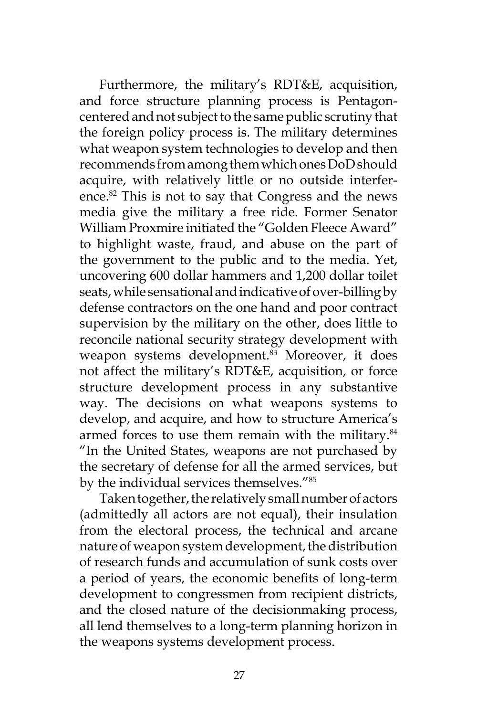Furthermore, the military's RDT&E, acquisition, and force structure planning process is Pentagoncentered and not subject to the same public scrutiny that the foreign policy process is. The military determines what weapon system technologies to develop and then recommends from among them which ones DoD should acquire, with relatively little or no outside interference.<sup>82</sup> This is not to say that Congress and the news media give the military a free ride. Former Senator William Proxmire initiated the "Golden Fleece Award" to highlight waste, fraud, and abuse on the part of the government to the public and to the media. Yet, uncovering 600 dollar hammers and 1,200 dollar toilet seats, while sensational and indicative of over-billing by defense contractors on the one hand and poor contract supervision by the military on the other, does little to reconcile national security strategy development with weapon systems development.<sup>83</sup> Moreover, it does not affect the military's RDT&E, acquisition, or force structure development process in any substantive way. The decisions on what weapons systems to develop, and acquire, and how to structure America's armed forces to use them remain with the military.<sup>84</sup> "In the United States, weapons are not purchased by the secretary of defense for all the armed services, but by the individual services themselves."85

Taken together, the relatively small number of actors (admittedly all actors are not equal), their insulation from the electoral process, the technical and arcane nature of weapon system development, the distribution of research funds and accumulation of sunk costs over a period of years, the economic benefits of long-term development to congressmen from recipient districts, and the closed nature of the decisionmaking process, all lend themselves to a long-term planning horizon in the weapons systems development process.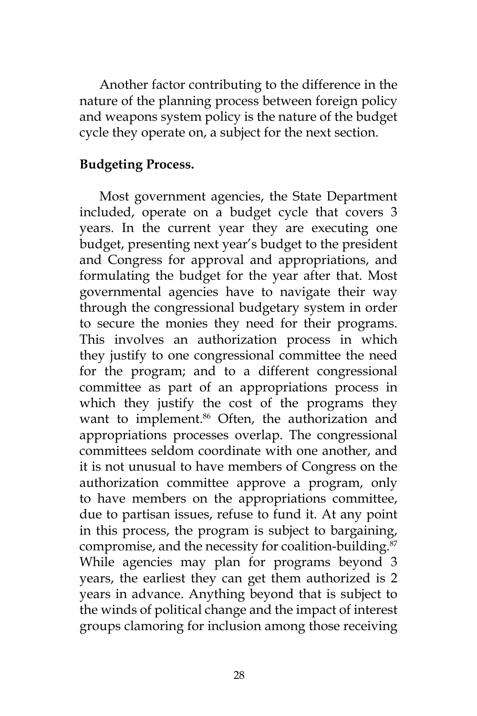Another factor contributing to the difference in the nature of the planning process between foreign policy and weapons system policy is the nature of the budget cycle they operate on, a subject for the next section.

### **Budgeting Process.**

Most government agencies, the State Department included, operate on a budget cycle that covers 3 years. In the current year they are executing one budget, presenting next year's budget to the president and Congress for approval and appropriations, and formulating the budget for the year after that. Most governmental agencies have to navigate their way through the congressional budgetary system in order to secure the monies they need for their programs. This involves an authorization process in which they justify to one congressional committee the need for the program; and to a different congressional committee as part of an appropriations process in which they justify the cost of the programs they want to implement.<sup>86</sup> Often, the authorization and appropriations processes overlap. The congressional committees seldom coordinate with one another, and it is not unusual to have members of Congress on the authorization committee approve a program, only to have members on the appropriations committee, due to partisan issues, refuse to fund it. At any point in this process, the program is subject to bargaining, compromise, and the necessity for coalition-building.<sup>87</sup> While agencies may plan for programs beyond 3 years, the earliest they can get them authorized is 2 years in advance. Anything beyond that is subject to the winds of political change and the impact of interest groups clamoring for inclusion among those receiving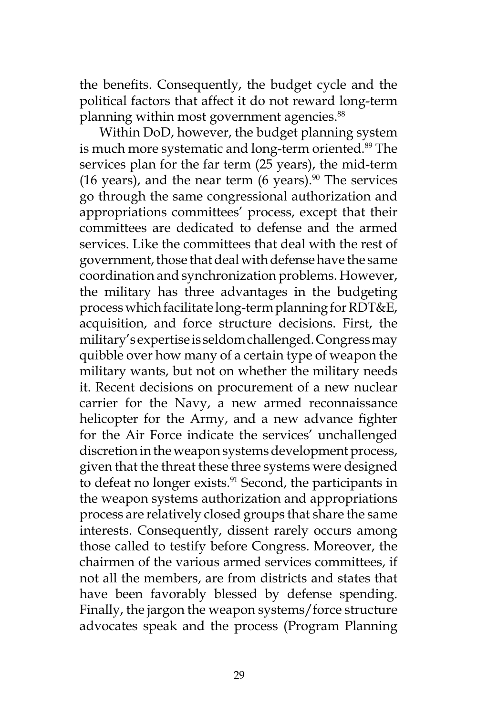the benefits. Consequently, the budget cycle and the political factors that affect it do not reward long-term planning within most government agencies.<sup>88</sup>

Within DoD, however, the budget planning system is much more systematic and long-term oriented.<sup>89</sup> The services plan for the far term (25 years), the mid-term (16 years), and the near term (6 years). $90$  The services go through the same congressional authorization and appropriations committees' process, except that their committees are dedicated to defense and the armed services. Like the committees that deal with the rest of government, those that deal with defense have the same coordination and synchronization problems. However, the military has three advantages in the budgeting process which facilitate long-term planning for RDT&E, acquisition, and force structure decisions. First, the military's expertise is seldom challenged. Congress may quibble over how many of a certain type of weapon the military wants, but not on whether the military needs it. Recent decisions on procurement of a new nuclear carrier for the Navy, a new armed reconnaissance helicopter for the Army, and a new advance fighter for the Air Force indicate the services' unchallenged discretion in the weapon systems development process, given that the threat these three systems were designed to defeat no longer exists.<sup>91</sup> Second, the participants in the weapon systems authorization and appropriations process are relatively closed groups that share the same interests. Consequently, dissent rarely occurs among those called to testify before Congress. Moreover, the chairmen of the various armed services committees, if not all the members, are from districts and states that have been favorably blessed by defense spending. Finally, the jargon the weapon systems/force structure advocates speak and the process (Program Planning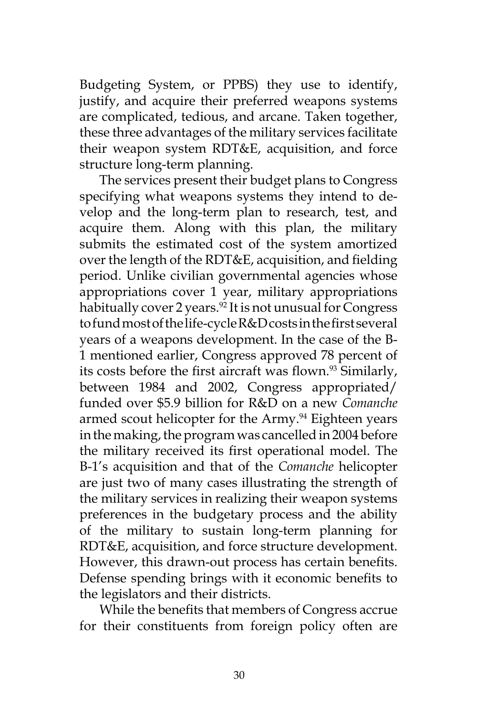Budgeting System, or PPBS) they use to identify, justify, and acquire their preferred weapons systems are complicated, tedious, and arcane. Taken together, these three advantages of the military services facilitate their weapon system RDT&E, acquisition, and force structure long-term planning.

The services present their budget plans to Congress specifying what weapons systems they intend to develop and the long-term plan to research, test, and acquire them. Along with this plan, the military submits the estimated cost of the system amortized over the length of the RDT&E, acquisition, and fielding period. Unlike civilian governmental agencies whose appropriations cover 1 year, military appropriations habitually cover 2 years.<sup>92</sup> It is not unusual for Congress to fund most of the life-cycle R&D costs in the first several years of a weapons development. In the case of the B-1 mentioned earlier, Congress approved 78 percent of its costs before the first aircraft was flown.<sup>93</sup> Similarly, between 1984 and 2002, Congress appropriated/ funded over \$5.9 billion for R&D on a new *Comanche* armed scout helicopter for the Army.<sup>94</sup> Eighteen years in the making, the program was cancelled in 2004 before the military received its first operational model. The B-1's acquisition and that of the *Comanche* helicopter are just two of many cases illustrating the strength of the military services in realizing their weapon systems preferences in the budgetary process and the ability of the military to sustain long-term planning for RDT&E, acquisition, and force structure development. However, this drawn-out process has certain benefits. Defense spending brings with it economic benefits to the legislators and their districts.

While the benefits that members of Congress accrue for their constituents from foreign policy often are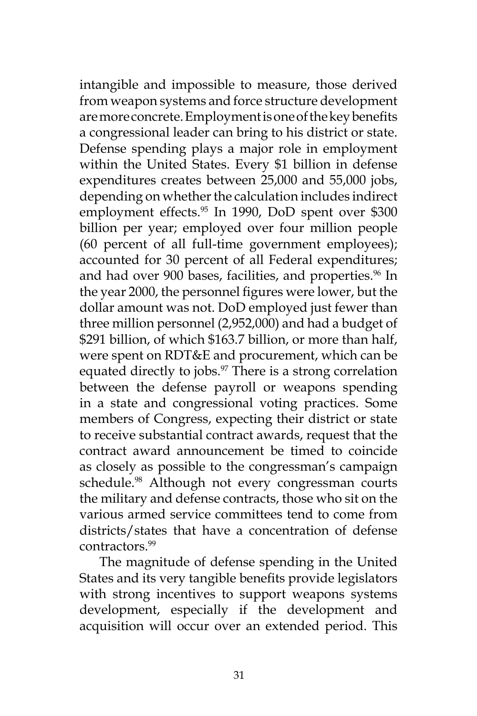intangible and impossible to measure, those derived from weapon systems and force structure development are more concrete. Employment is one of the key benefits a congressional leader can bring to his district or state. Defense spending plays a major role in employment within the United States. Every \$1 billion in defense expenditures creates between 25,000 and 55,000 jobs, depending on whether the calculation includes indirect employment effects.<sup>95</sup> In 1990, DoD spent over \$300 billion per year; employed over four million people (60 percent of all full-time government employees); accounted for 30 percent of all Federal expenditures; and had over 900 bases, facilities, and properties.<sup>96</sup> In the year 2000, the personnel figures were lower, but the dollar amount was not. DoD employed just fewer than three million personnel (2,952,000) and had a budget of \$291 billion, of which \$163.7 billion, or more than half, were spent on RDT&E and procurement, which can be equated directly to jobs.<sup>97</sup> There is a strong correlation between the defense payroll or weapons spending in a state and congressional voting practices. Some members of Congress, expecting their district or state to receive substantial contract awards, request that the contract award announcement be timed to coincide as closely as possible to the congressman's campaign schedule.<sup>98</sup> Although not every congressman courts the military and defense contracts, those who sit on the various armed service committees tend to come from districts/states that have a concentration of defense contractors<sup>99</sup>

The magnitude of defense spending in the United States and its very tangible benefits provide legislators with strong incentives to support weapons systems development, especially if the development and acquisition will occur over an extended period. This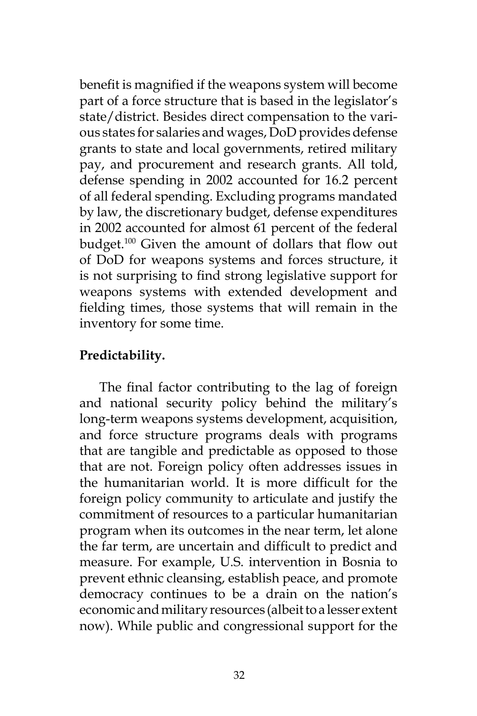benefit is magnified if the weapons system will become part of a force structure that is based in the legislator's state/district. Besides direct compensation to the various states for salaries and wages, DoD provides defense grants to state and local governments, retired military pay, and procurement and research grants. All told, defense spending in 2002 accounted for 16.2 percent of all federal spending. Excluding programs mandated by law, the discretionary budget, defense expenditures in 2002 accounted for almost 61 percent of the federal budget.100 Given the amount of dollars that flow out of DoD for weapons systems and forces structure, it is not surprising to find strong legislative support for weapons systems with extended development and fielding times, those systems that will remain in the inventory for some time.

# **Predictability.**

The final factor contributing to the lag of foreign and national security policy behind the military's long-term weapons systems development, acquisition, and force structure programs deals with programs that are tangible and predictable as opposed to those that are not. Foreign policy often addresses issues in the humanitarian world. It is more difficult for the foreign policy community to articulate and justify the commitment of resources to a particular humanitarian program when its outcomes in the near term, let alone the far term, are uncertain and difficult to predict and measure. For example, U.S. intervention in Bosnia to prevent ethnic cleansing, establish peace, and promote democracy continues to be a drain on the nation's economic and military resources (albeit to a lesser extent now). While public and congressional support for the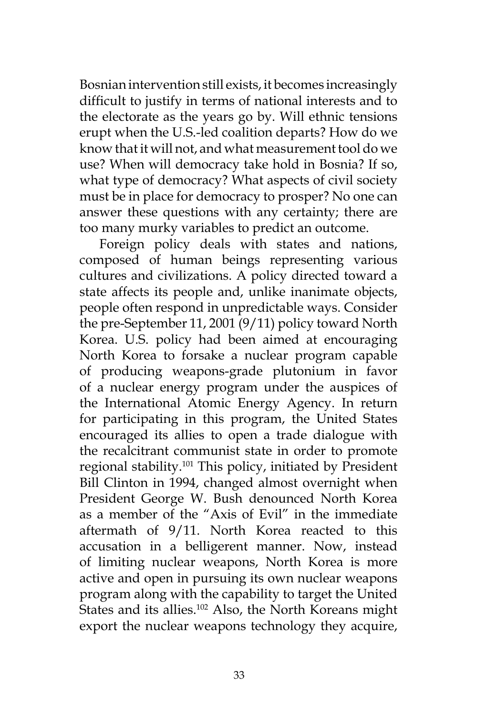Bosnian intervention still exists, it becomes increasingly difficult to justify in terms of national interests and to the electorate as the years go by. Will ethnic tensions erupt when the U.S.-led coalition departs? How do we know that it will not, and what measurement tool do we use? When will democracy take hold in Bosnia? If so, what type of democracy? What aspects of civil society must be in place for democracy to prosper? No one can answer these questions with any certainty; there are too many murky variables to predict an outcome.

Foreign policy deals with states and nations, composed of human beings representing various cultures and civilizations. A policy directed toward a state affects its people and, unlike inanimate objects, people often respond in unpredictable ways. Consider the pre-September 11, 2001 (9/11) policy toward North Korea. U.S. policy had been aimed at encouraging North Korea to forsake a nuclear program capable of producing weapons-grade plutonium in favor of a nuclear energy program under the auspices of the International Atomic Energy Agency. In return for participating in this program, the United States encouraged its allies to open a trade dialogue with the recalcitrant communist state in order to promote regional stability.101 This policy, initiated by President Bill Clinton in 1994, changed almost overnight when President George W. Bush denounced North Korea as a member of the "Axis of Evil" in the immediate aftermath of 9/11. North Korea reacted to this accusation in a belligerent manner. Now, instead of limiting nuclear weapons, North Korea is more active and open in pursuing its own nuclear weapons program along with the capability to target the United States and its allies.<sup>102</sup> Also, the North Koreans might export the nuclear weapons technology they acquire,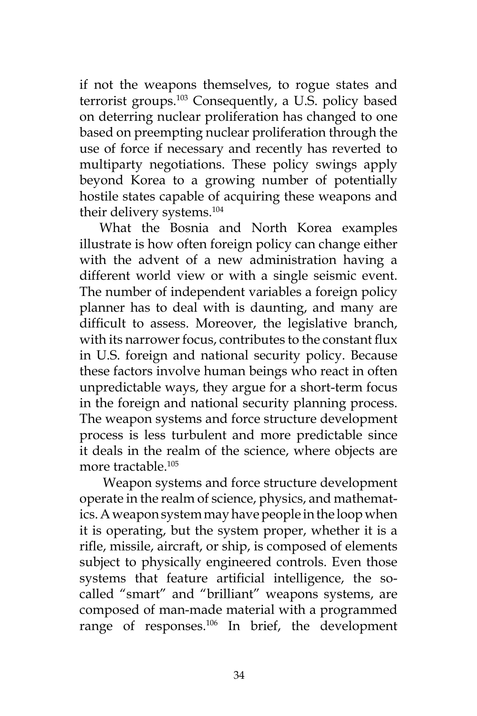if not the weapons themselves, to rogue states and terrorist groups.103 Consequently, a U.S. policy based on deterring nuclear proliferation has changed to one based on preempting nuclear proliferation through the use of force if necessary and recently has reverted to multiparty negotiations. These policy swings apply beyond Korea to a growing number of potentially hostile states capable of acquiring these weapons and their delivery systems.104

What the Bosnia and North Korea examples illustrate is how often foreign policy can change either with the advent of a new administration having a different world view or with a single seismic event. The number of independent variables a foreign policy planner has to deal with is daunting, and many are difficult to assess. Moreover, the legislative branch, with its narrower focus, contributes to the constant flux in U.S. foreign and national security policy. Because these factors involve human beings who react in often unpredictable ways, they argue for a short-term focus in the foreign and national security planning process. The weapon systems and force structure development process is less turbulent and more predictable since it deals in the realm of the science, where objects are more tractable.105

 Weapon systems and force structure development operate in the realm of science, physics, and mathematics. A weapon system may have people in the loop when it is operating, but the system proper, whether it is a rifle, missile, aircraft, or ship, is composed of elements subject to physically engineered controls. Even those systems that feature artificial intelligence, the socalled "smart" and "brilliant" weapons systems, are composed of man-made material with a programmed range of responses.106 In brief, the development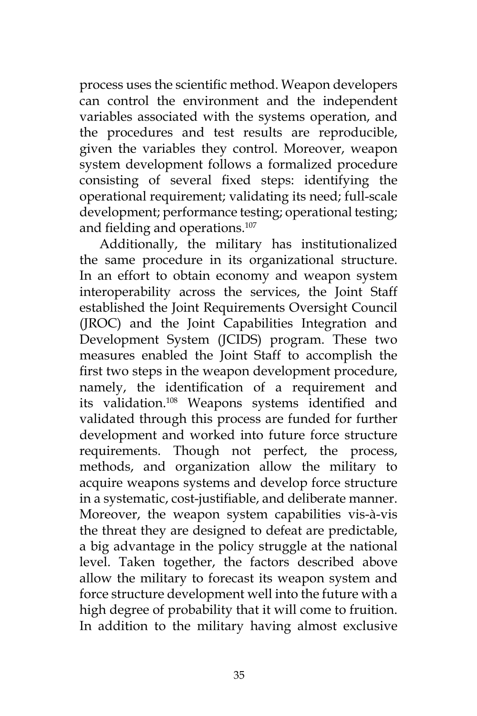process uses the scientific method. Weapon developers can control the environment and the independent variables associated with the systems operation, and the procedures and test results are reproducible, given the variables they control. Moreover, weapon system development follows a formalized procedure consisting of several fixed steps: identifying the operational requirement; validating its need; full-scale development; performance testing; operational testing; and fielding and operations.<sup>107</sup>

Additionally, the military has institutionalized the same procedure in its organizational structure. In an effort to obtain economy and weapon system interoperability across the services, the Joint Staff established the Joint Requirements Oversight Council (JROC) and the Joint Capabilities Integration and Development System (JCIDS) program. These two measures enabled the Joint Staff to accomplish the first two steps in the weapon development procedure, namely, the identification of a requirement and its validation.108 Weapons systems identified and validated through this process are funded for further development and worked into future force structure requirements. Though not perfect, the process, methods, and organization allow the military to acquire weapons systems and develop force structure in a systematic, cost-justifiable, and deliberate manner. Moreover, the weapon system capabilities vis-à-vis the threat they are designed to defeat are predictable, a big advantage in the policy struggle at the national level. Taken together, the factors described above allow the military to forecast its weapon system and force structure development well into the future with a high degree of probability that it will come to fruition. In addition to the military having almost exclusive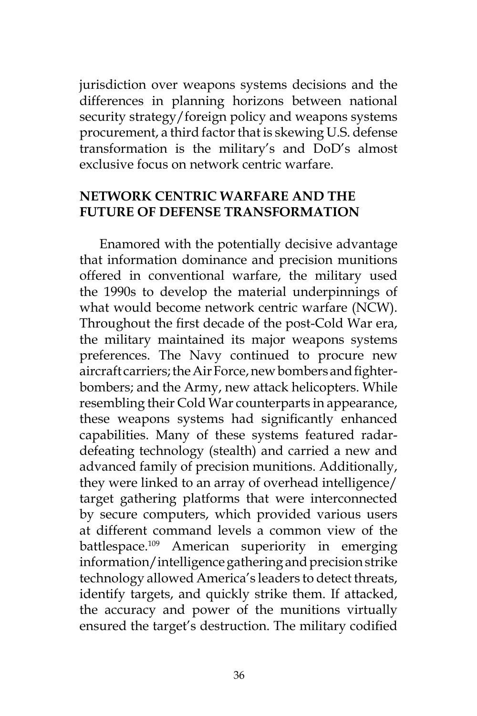jurisdiction over weapons systems decisions and the differences in planning horizons between national security strategy/foreign policy and weapons systems procurement, a third factor that is skewing U.S. defense transformation is the military's and DoD's almost exclusive focus on network centric warfare.

### **NETWORK CENTRIC WARFARE AND THE FUTURE OF DEFENSE TRANSFORMATION**

Enamored with the potentially decisive advantage that information dominance and precision munitions offered in conventional warfare, the military used the 1990s to develop the material underpinnings of what would become network centric warfare (NCW). Throughout the first decade of the post-Cold War era, the military maintained its major weapons systems preferences. The Navy continued to procure new aircraft carriers; the Air Force, new bombers and fighterbombers; and the Army, new attack helicopters. While resembling their Cold War counterparts in appearance, these weapons systems had significantly enhanced capabilities. Many of these systems featured radardefeating technology (stealth) and carried a new and advanced family of precision munitions. Additionally, they were linked to an array of overhead intelligence/ target gathering platforms that were interconnected by secure computers, which provided various users at different command levels a common view of the battlespace.<sup>109</sup> American superiority in emerging information/intelligence gathering and precision strike technology allowed America's leaders to detect threats, identify targets, and quickly strike them. If attacked, the accuracy and power of the munitions virtually ensured the target's destruction. The military codified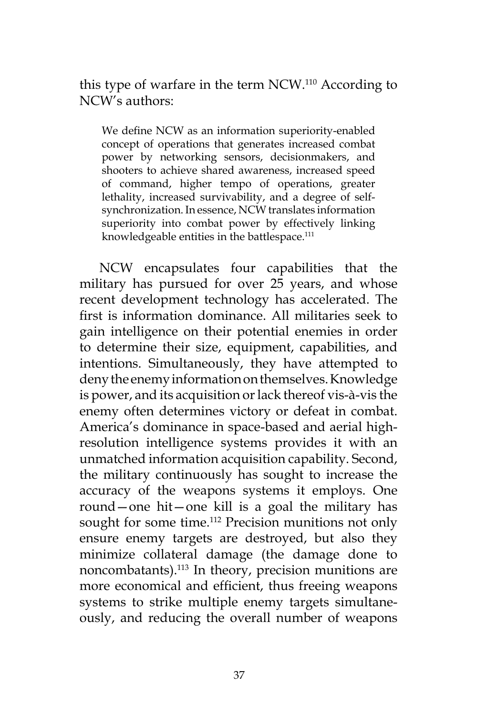this type of warfare in the term NCW.110 According to NCW's authors:

We define NCW as an information superiority-enabled concept of operations that generates increased combat power by networking sensors, decisionmakers, and shooters to achieve shared awareness, increased speed of command, higher tempo of operations, greater lethality, increased survivability, and a degree of selfsynchronization. In essence, NCW translates information superiority into combat power by effectively linking knowledgeable entities in the battlespace.<sup>111</sup>

NCW encapsulates four capabilities that the military has pursued for over 25 years, and whose recent development technology has accelerated. The first is information dominance. All militaries seek to gain intelligence on their potential enemies in order to determine their size, equipment, capabilities, and intentions. Simultaneously, they have attempted to deny the enemy information on themselves. Knowledge is power, and its acquisition or lack thereof vis-à-vis the enemy often determines victory or defeat in combat. America's dominance in space-based and aerial highresolution intelligence systems provides it with an unmatched information acquisition capability. Second, the military continuously has sought to increase the accuracy of the weapons systems it employs. One round—one hit—one kill is a goal the military has sought for some time.<sup>112</sup> Precision munitions not only ensure enemy targets are destroyed, but also they minimize collateral damage (the damage done to noncombatants).113 In theory, precision munitions are more economical and efficient, thus freeing weapons systems to strike multiple enemy targets simultaneously, and reducing the overall number of weapons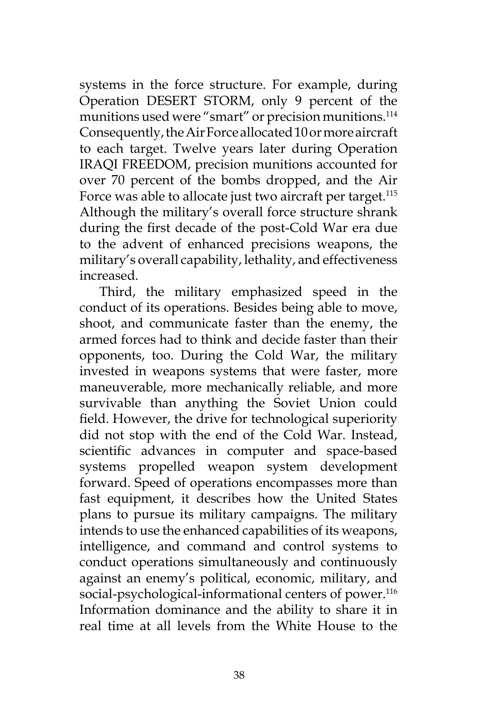systems in the force structure. For example, during Operation DESERT STORM, only 9 percent of the munitions used were "smart" or precision munitions.<sup>114</sup> Consequently, the Air Force allocated 10 or more aircraft to each target. Twelve years later during Operation IRAQI FREEDOM, precision munitions accounted for over 70 percent of the bombs dropped, and the Air Force was able to allocate just two aircraft per target.<sup>115</sup> Although the military's overall force structure shrank during the first decade of the post-Cold War era due to the advent of enhanced precisions weapons, the military's overall capability, lethality, and effectiveness increased.

Third, the military emphasized speed in the conduct of its operations. Besides being able to move, shoot, and communicate faster than the enemy, the armed forces had to think and decide faster than their opponents, too. During the Cold War, the military invested in weapons systems that were faster, more maneuverable, more mechanically reliable, and more survivable than anything the Soviet Union could field. However, the drive for technological superiority did not stop with the end of the Cold War. Instead, scientific advances in computer and space-based systems propelled weapon system development forward. Speed of operations encompasses more than fast equipment, it describes how the United States plans to pursue its military campaigns. The military intends to use the enhanced capabilities of its weapons, intelligence, and command and control systems to conduct operations simultaneously and continuously against an enemy's political, economic, military, and social-psychological-informational centers of power.<sup>116</sup> Information dominance and the ability to share it in real time at all levels from the White House to the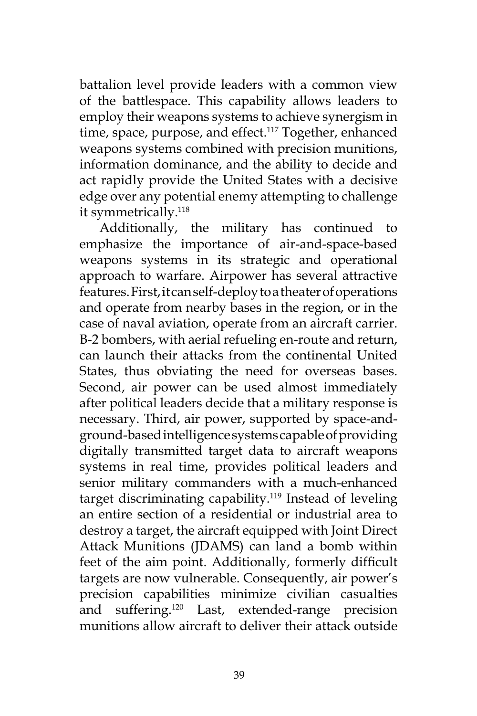battalion level provide leaders with a common view of the battlespace. This capability allows leaders to employ their weapons systems to achieve synergism in time, space, purpose, and effect.<sup>117</sup> Together, enhanced weapons systems combined with precision munitions, information dominance, and the ability to decide and act rapidly provide the United States with a decisive edge over any potential enemy attempting to challenge it symmetrically.<sup>118</sup>

Additionally, the military has continued to emphasize the importance of air-and-space-based weapons systems in its strategic and operational approach to warfare. Airpower has several attractive features. First, it can self-deploy to a theater of operations and operate from nearby bases in the region, or in the case of naval aviation, operate from an aircraft carrier. B-2 bombers, with aerial refueling en-route and return, can launch their attacks from the continental United States, thus obviating the need for overseas bases. Second, air power can be used almost immediately after political leaders decide that a military response is necessary. Third, air power, supported by space-andground-based intelligence systems capable of providing digitally transmitted target data to aircraft weapons systems in real time, provides political leaders and senior military commanders with a much-enhanced target discriminating capability.119 Instead of leveling an entire section of a residential or industrial area to destroy a target, the aircraft equipped with Joint Direct Attack Munitions (JDAMS) can land a bomb within feet of the aim point. Additionally, formerly difficult targets are now vulnerable. Consequently, air power's precision capabilities minimize civilian casualties and suffering.120 Last, extended-range precision munitions allow aircraft to deliver their attack outside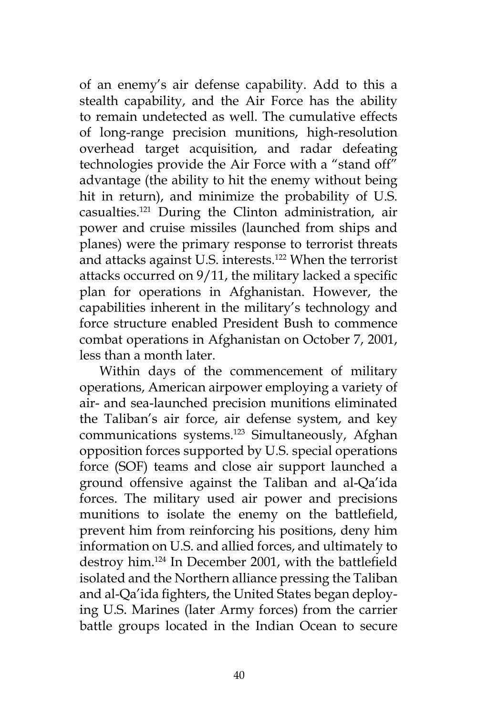of an enemy's air defense capability. Add to this a stealth capability, and the Air Force has the ability to remain undetected as well. The cumulative effects of long-range precision munitions, high-resolution overhead target acquisition, and radar defeating technologies provide the Air Force with a "stand off" advantage (the ability to hit the enemy without being hit in return), and minimize the probability of U.S. casualties.121 During the Clinton administration, air power and cruise missiles (launched from ships and planes) were the primary response to terrorist threats and attacks against U.S. interests.122 When the terrorist attacks occurred on 9/11, the military lacked a specific plan for operations in Afghanistan. However, the capabilities inherent in the military's technology and force structure enabled President Bush to commence combat operations in Afghanistan on October 7, 2001, less than a month later.

Within days of the commencement of military operations, American airpower employing a variety of air- and sea-launched precision munitions eliminated the Taliban's air force, air defense system, and key communications systems.<sup>123</sup> Simultaneously, Afghan opposition forces supported by U.S. special operations force (SOF) teams and close air support launched a ground offensive against the Taliban and al-Qa'ida forces. The military used air power and precisions munitions to isolate the enemy on the battlefield, prevent him from reinforcing his positions, deny him information on U.S. and allied forces, and ultimately to destroy him.124 In December 2001, with the battlefield isolated and the Northern alliance pressing the Taliban and al-Qa'ida fighters, the United States began deploying U.S. Marines (later Army forces) from the carrier battle groups located in the Indian Ocean to secure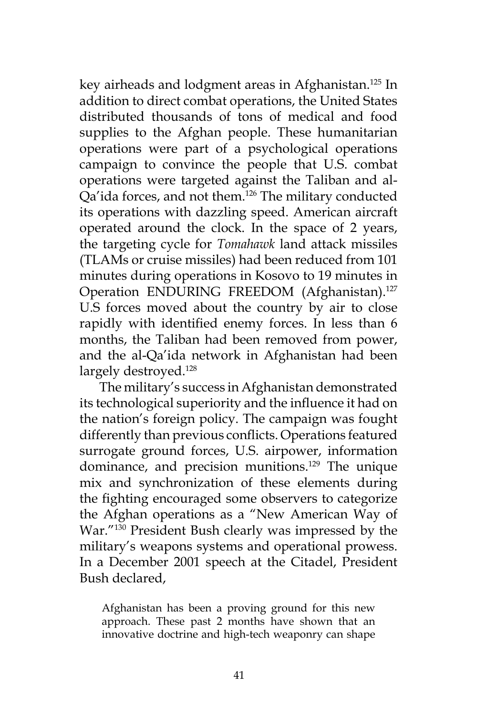key airheads and lodgment areas in Afghanistan.<sup>125</sup> In addition to direct combat operations, the United States distributed thousands of tons of medical and food supplies to the Afghan people. These humanitarian operations were part of a psychological operations campaign to convince the people that U.S. combat operations were targeted against the Taliban and al-Qa'ida forces, and not them.126 The military conducted its operations with dazzling speed. American aircraft operated around the clock. In the space of 2 years, the targeting cycle for *Tomahawk* land attack missiles (TLAMs or cruise missiles) had been reduced from 101 minutes during operations in Kosovo to 19 minutes in Operation ENDURING FREEDOM (Afghanistan).<sup>127</sup> U.S forces moved about the country by air to close rapidly with identified enemy forces. In less than 6 months, the Taliban had been removed from power, and the al-Qa'ida network in Afghanistan had been largely destroyed.<sup>128</sup>

The military's success in Afghanistan demonstrated its technological superiority and the influence it had on the nation's foreign policy. The campaign was fought differently than previous conflicts. Operations featured surrogate ground forces, U.S. airpower, information dominance, and precision munitions.<sup>129</sup> The unique mix and synchronization of these elements during the fighting encouraged some observers to categorize the Afghan operations as a "New American Way of War."130 President Bush clearly was impressed by the military's weapons systems and operational prowess. In a December 2001 speech at the Citadel, President Bush declared,

Afghanistan has been a proving ground for this new approach. These past 2 months have shown that an innovative doctrine and high-tech weaponry can shape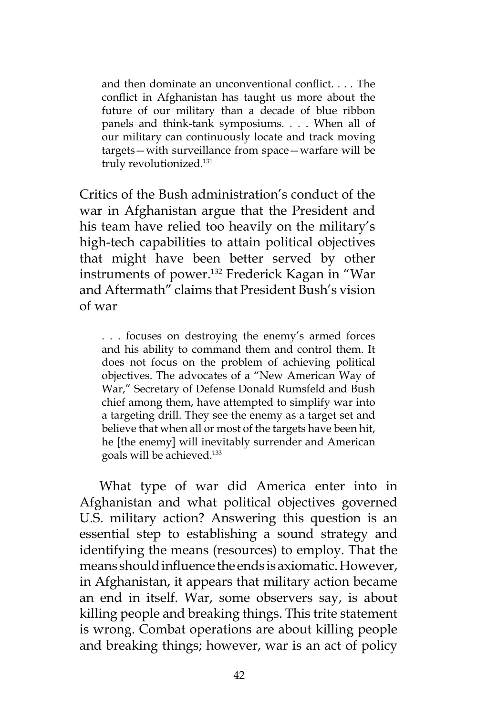and then dominate an unconventional conflict. . . . The conflict in Afghanistan has taught us more about the future of our military than a decade of blue ribbon panels and think-tank symposiums. . . . When all of our military can continuously locate and track moving targets—with surveillance from space—warfare will be truly revolutionized.131

Critics of the Bush administration's conduct of the war in Afghanistan argue that the President and his team have relied too heavily on the military's high-tech capabilities to attain political objectives that might have been better served by other instruments of power.132 Frederick Kagan in "War and Aftermath" claims that President Bush's vision of war

. . . focuses on destroying the enemy's armed forces and his ability to command them and control them. It does not focus on the problem of achieving political objectives. The advocates of a "New American Way of War," Secretary of Defense Donald Rumsfeld and Bush chief among them, have attempted to simplify war into a targeting drill. They see the enemy as a target set and believe that when all or most of the targets have been hit, he [the enemy] will inevitably surrender and American goals will be achieved.133

What type of war did America enter into in Afghanistan and what political objectives governed U.S. military action? Answering this question is an essential step to establishing a sound strategy and identifying the means (resources) to employ. That the means should influence the ends is axiomatic. However, in Afghanistan, it appears that military action became an end in itself. War, some observers say, is about killing people and breaking things. This trite statement is wrong. Combat operations are about killing people and breaking things; however, war is an act of policy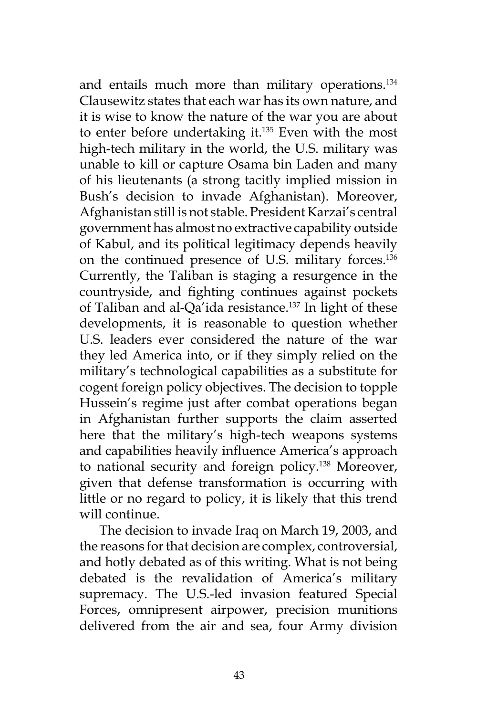and entails much more than military operations.<sup>134</sup> Clausewitz states that each war has its own nature, and it is wise to know the nature of the war you are about to enter before undertaking it.135 Even with the most high-tech military in the world, the U.S. military was unable to kill or capture Osama bin Laden and many of his lieutenants (a strong tacitly implied mission in Bush's decision to invade Afghanistan). Moreover, Afghanistan still is not stable. President Karzai's central government has almost no extractive capability outside of Kabul, and its political legitimacy depends heavily on the continued presence of U.S. military forces.136 Currently, the Taliban is staging a resurgence in the countryside, and fighting continues against pockets of Taliban and al-Qa'ida resistance.<sup>137</sup> In light of these developments, it is reasonable to question whether U.S. leaders ever considered the nature of the war they led America into, or if they simply relied on the military's technological capabilities as a substitute for cogent foreign policy objectives. The decision to topple Hussein's regime just after combat operations began in Afghanistan further supports the claim asserted here that the military's high-tech weapons systems and capabilities heavily influence America's approach to national security and foreign policy.138 Moreover, given that defense transformation is occurring with little or no regard to policy, it is likely that this trend will continue.

The decision to invade Iraq on March 19, 2003, and the reasons for that decision are complex, controversial, and hotly debated as of this writing. What is not being debated is the revalidation of America's military supremacy. The U.S.-led invasion featured Special Forces, omnipresent airpower, precision munitions delivered from the air and sea, four Army division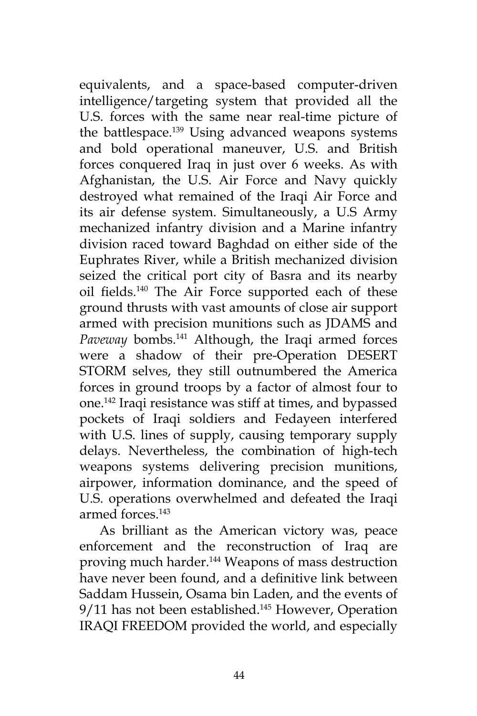equivalents, and a space-based computer-driven intelligence/targeting system that provided all the U.S. forces with the same near real-time picture of the battlespace.<sup>139</sup> Using advanced weapons systems and bold operational maneuver, U.S. and British forces conquered Iraq in just over 6 weeks. As with Afghanistan, the U.S. Air Force and Navy quickly destroyed what remained of the Iraqi Air Force and its air defense system. Simultaneously, a U.S Army mechanized infantry division and a Marine infantry division raced toward Baghdad on either side of the Euphrates River, while a British mechanized division seized the critical port city of Basra and its nearby oil fields.140 The Air Force supported each of these ground thrusts with vast amounts of close air support armed with precision munitions such as JDAMS and *Paveway* bombs.141 Although, the Iraqi armed forces were a shadow of their pre-Operation DESERT STORM selves, they still outnumbered the America forces in ground troops by a factor of almost four to one.142 Iraqi resistance was stiff at times, and bypassed pockets of Iraqi soldiers and Fedayeen interfered with U.S. lines of supply, causing temporary supply delays. Nevertheless, the combination of high-tech weapons systems delivering precision munitions, airpower, information dominance, and the speed of U.S. operations overwhelmed and defeated the Iraqi armed forces.143

As brilliant as the American victory was, peace enforcement and the reconstruction of Iraq are proving much harder.<sup>144</sup> Weapons of mass destruction have never been found, and a definitive link between Saddam Hussein, Osama bin Laden, and the events of 9/11 has not been established.<sup>145</sup> However, Operation IRAQI FREEDOM provided the world, and especially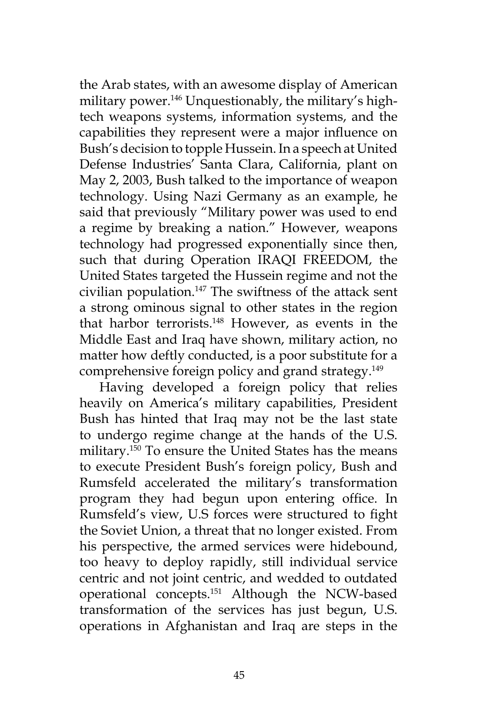the Arab states, with an awesome display of American military power.<sup>146</sup> Unquestionably, the military's hightech weapons systems, information systems, and the capabilities they represent were a major influence on Bush's decision to topple Hussein. In a speech at United Defense Industries' Santa Clara, California, plant on May 2, 2003, Bush talked to the importance of weapon technology. Using Nazi Germany as an example, he said that previously "Military power was used to end a regime by breaking a nation." However, weapons technology had progressed exponentially since then, such that during Operation IRAQI FREEDOM, the United States targeted the Hussein regime and not the civilian population.147 The swiftness of the attack sent a strong ominous signal to other states in the region that harbor terrorists.148 However, as events in the Middle East and Iraq have shown, military action, no matter how deftly conducted, is a poor substitute for a comprehensive foreign policy and grand strategy.149

Having developed a foreign policy that relies heavily on America's military capabilities, President Bush has hinted that Iraq may not be the last state to undergo regime change at the hands of the U.S. military.150 To ensure the United States has the means to execute President Bush's foreign policy, Bush and Rumsfeld accelerated the military's transformation program they had begun upon entering office. In Rumsfeld's view, U.S forces were structured to fight the Soviet Union, a threat that no longer existed. From his perspective, the armed services were hidebound, too heavy to deploy rapidly, still individual service centric and not joint centric, and wedded to outdated operational concepts.151 Although the NCW-based transformation of the services has just begun, U.S. operations in Afghanistan and Iraq are steps in the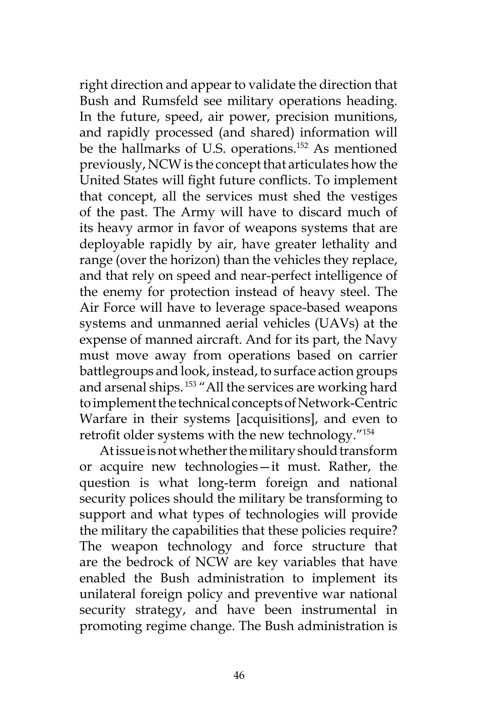right direction and appear to validate the direction that Bush and Rumsfeld see military operations heading. In the future, speed, air power, precision munitions, and rapidly processed (and shared) information will be the hallmarks of U.S. operations.152 As mentioned previously, NCW is the concept that articulates how the United States will fight future conflicts. To implement that concept, all the services must shed the vestiges of the past. The Army will have to discard much of its heavy armor in favor of weapons systems that are deployable rapidly by air, have greater lethality and range (over the horizon) than the vehicles they replace, and that rely on speed and near-perfect intelligence of the enemy for protection instead of heavy steel. The Air Force will have to leverage space-based weapons systems and unmanned aerial vehicles (UAVs) at the expense of manned aircraft. And for its part, the Navy must move away from operations based on carrier battlegroups and look, instead, to surface action groups and arsenal ships.<sup>153</sup> "All the services are working hard to implement the technical concepts of Network-Centric Warfare in their systems [acquisitions], and even to retrofit older systems with the new technology."<sup>154</sup>

At issue is not whether the military should transform or acquire new technologies—it must. Rather, the question is what long-term foreign and national security polices should the military be transforming to support and what types of technologies will provide the military the capabilities that these policies require? The weapon technology and force structure that are the bedrock of NCW are key variables that have enabled the Bush administration to implement its unilateral foreign policy and preventive war national security strategy, and have been instrumental in promoting regime change. The Bush administration is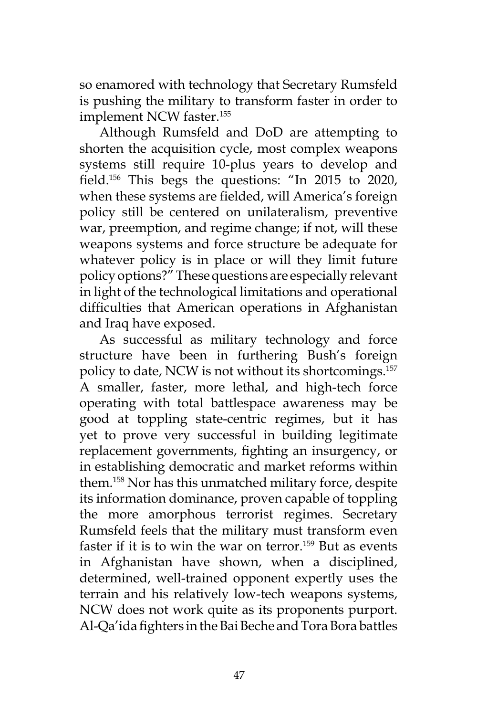so enamored with technology that Secretary Rumsfeld is pushing the military to transform faster in order to implement NCW faster.<sup>155</sup>

Although Rumsfeld and DoD are attempting to shorten the acquisition cycle, most complex weapons systems still require 10-plus years to develop and field.156 This begs the questions: "In 2015 to 2020, when these systems are fielded, will America's foreign policy still be centered on unilateralism, preventive war, preemption, and regime change; if not, will these weapons systems and force structure be adequate for whatever policy is in place or will they limit future policy options?" These questions are especially relevant in light of the technological limitations and operational difficulties that American operations in Afghanistan and Iraq have exposed.

As successful as military technology and force structure have been in furthering Bush's foreign policy to date, NCW is not without its shortcomings.157 A smaller, faster, more lethal, and high-tech force operating with total battlespace awareness may be good at toppling state-centric regimes, but it has yet to prove very successful in building legitimate replacement governments, fighting an insurgency, or in establishing democratic and market reforms within them.158 Nor has this unmatched military force, despite its information dominance, proven capable of toppling the more amorphous terrorist regimes. Secretary Rumsfeld feels that the military must transform even faster if it is to win the war on terror.159 But as events in Afghanistan have shown, when a disciplined, determined, well-trained opponent expertly uses the terrain and his relatively low-tech weapons systems, NCW does not work quite as its proponents purport. Al-Qa'ida fighters in the Bai Beche and Tora Bora battles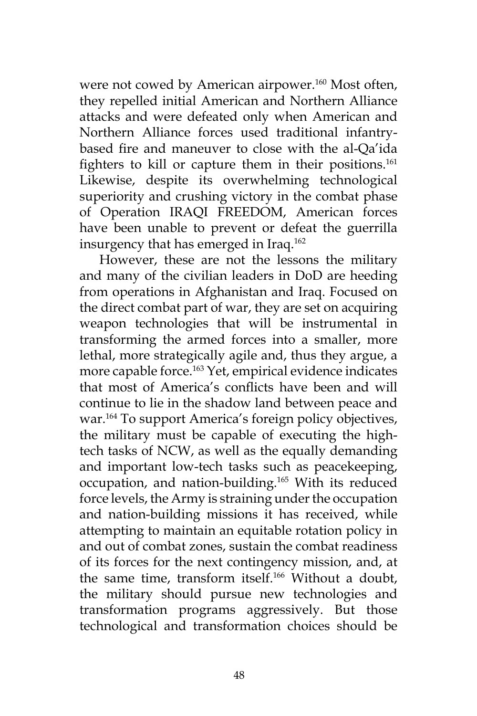were not cowed by American airpower.<sup>160</sup> Most often, they repelled initial American and Northern Alliance attacks and were defeated only when American and Northern Alliance forces used traditional infantrybased fire and maneuver to close with the al-Qa'ida fighters to kill or capture them in their positions.<sup>161</sup> Likewise, despite its overwhelming technological superiority and crushing victory in the combat phase of Operation IRAQI FREEDOM, American forces have been unable to prevent or defeat the guerrilla insurgency that has emerged in Iraq.<sup>162</sup>

However, these are not the lessons the military and many of the civilian leaders in DoD are heeding from operations in Afghanistan and Iraq. Focused on the direct combat part of war, they are set on acquiring weapon technologies that will be instrumental in transforming the armed forces into a smaller, more lethal, more strategically agile and, thus they argue, a more capable force.<sup>163</sup> Yet, empirical evidence indicates that most of America's conflicts have been and will continue to lie in the shadow land between peace and war.<sup>164</sup> To support America's foreign policy objectives, the military must be capable of executing the hightech tasks of NCW, as well as the equally demanding and important low-tech tasks such as peacekeeping, occupation, and nation-building.165 With its reduced force levels, the Army is straining under the occupation and nation-building missions it has received, while attempting to maintain an equitable rotation policy in and out of combat zones, sustain the combat readiness of its forces for the next contingency mission, and, at the same time, transform itself.<sup>166</sup> Without a doubt, the military should pursue new technologies and transformation programs aggressively. But those technological and transformation choices should be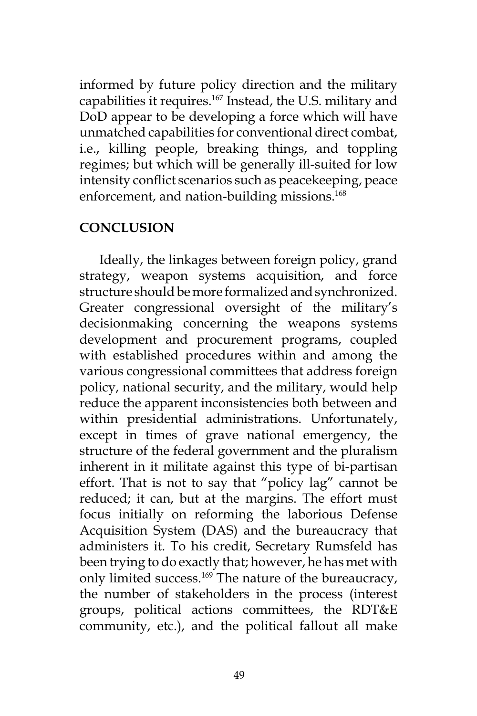informed by future policy direction and the military capabilities it requires.167 Instead, the U.S. military and DoD appear to be developing a force which will have unmatched capabilities for conventional direct combat, i.e., killing people, breaking things, and toppling regimes; but which will be generally ill-suited for low intensity conflict scenarios such as peacekeeping, peace enforcement, and nation-building missions.<sup>168</sup>

### **CONCLUSION**

Ideally, the linkages between foreign policy, grand strategy, weapon systems acquisition, and force structure should be more formalized and synchronized. Greater congressional oversight of the military's decisionmaking concerning the weapons systems development and procurement programs, coupled with established procedures within and among the various congressional committees that address foreign policy, national security, and the military, would help reduce the apparent inconsistencies both between and within presidential administrations. Unfortunately, except in times of grave national emergency, the structure of the federal government and the pluralism inherent in it militate against this type of bi-partisan effort. That is not to say that "policy lag" cannot be reduced; it can, but at the margins. The effort must focus initially on reforming the laborious Defense Acquisition System (DAS) and the bureaucracy that administers it. To his credit, Secretary Rumsfeld has been trying to do exactly that; however, he has met with only limited success.<sup>169</sup> The nature of the bureaucracy, the number of stakeholders in the process (interest groups, political actions committees, the RDT&E community, etc.), and the political fallout all make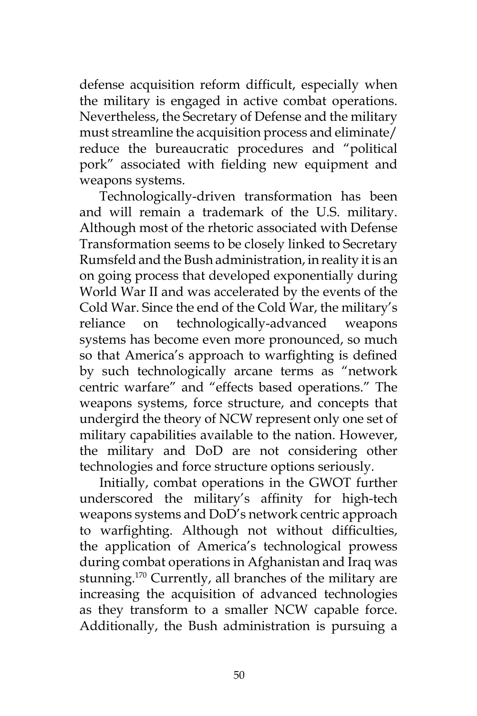defense acquisition reform difficult, especially when the military is engaged in active combat operations. Nevertheless, the Secretary of Defense and the military must streamline the acquisition process and eliminate/ reduce the bureaucratic procedures and "political pork" associated with fielding new equipment and weapons systems.

Technologically-driven transformation has been and will remain a trademark of the U.S. military. Although most of the rhetoric associated with Defense Transformation seems to be closely linked to Secretary Rumsfeld and the Bush administration, in reality it is an on going process that developed exponentially during World War II and was accelerated by the events of the Cold War. Since the end of the Cold War, the military's reliance on technologically-advanced weapons systems has become even more pronounced, so much so that America's approach to warfighting is defined by such technologically arcane terms as "network centric warfare" and "effects based operations." The weapons systems, force structure, and concepts that undergird the theory of NCW represent only one set of military capabilities available to the nation. However, the military and DoD are not considering other technologies and force structure options seriously.

Initially, combat operations in the GWOT further underscored the military's affinity for high-tech weapons systems and DoD's network centric approach to warfighting. Although not without difficulties, the application of America's technological prowess during combat operations in Afghanistan and Iraq was stunning.<sup>170</sup> Currently, all branches of the military are increasing the acquisition of advanced technologies as they transform to a smaller NCW capable force. Additionally, the Bush administration is pursuing a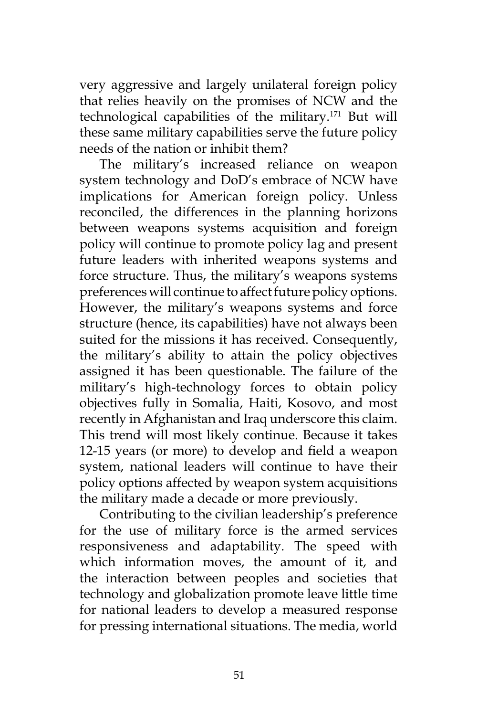very aggressive and largely unilateral foreign policy that relies heavily on the promises of NCW and the technological capabilities of the military.171 But will these same military capabilities serve the future policy needs of the nation or inhibit them?

The military's increased reliance on weapon system technology and DoD's embrace of NCW have implications for American foreign policy. Unless reconciled, the differences in the planning horizons between weapons systems acquisition and foreign policy will continue to promote policy lag and present future leaders with inherited weapons systems and force structure. Thus, the military's weapons systems preferences will continue to affect future policy options. However, the military's weapons systems and force structure (hence, its capabilities) have not always been suited for the missions it has received. Consequently, the military's ability to attain the policy objectives assigned it has been questionable. The failure of the military's high-technology forces to obtain policy objectives fully in Somalia, Haiti, Kosovo, and most recently in Afghanistan and Iraq underscore this claim. This trend will most likely continue. Because it takes 12-15 years (or more) to develop and field a weapon system, national leaders will continue to have their policy options affected by weapon system acquisitions the military made a decade or more previously.

Contributing to the civilian leadership's preference for the use of military force is the armed services responsiveness and adaptability. The speed with which information moves, the amount of it, and the interaction between peoples and societies that technology and globalization promote leave little time for national leaders to develop a measured response for pressing international situations. The media, world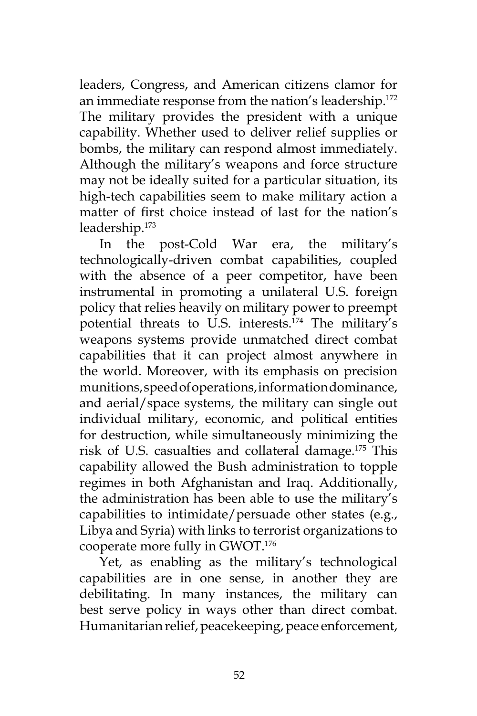leaders, Congress, and American citizens clamor for an immediate response from the nation's leadership.<sup>172</sup> The military provides the president with a unique capability. Whether used to deliver relief supplies or bombs, the military can respond almost immediately. Although the military's weapons and force structure may not be ideally suited for a particular situation, its high-tech capabilities seem to make military action a matter of first choice instead of last for the nation's leadership.173

In the post-Cold War era, the military's technologically-driven combat capabilities, coupled with the absence of a peer competitor, have been instrumental in promoting a unilateral U.S. foreign policy that relies heavily on military power to preempt potential threats to U.S. interests.174 The military's weapons systems provide unmatched direct combat capabilities that it can project almost anywhere in the world. Moreover, with its emphasis on precision munitions, speed of operations, information dominance, and aerial/space systems, the military can single out individual military, economic, and political entities for destruction, while simultaneously minimizing the risk of U.S. casualties and collateral damage.175 This capability allowed the Bush administration to topple regimes in both Afghanistan and Iraq. Additionally, the administration has been able to use the military's capabilities to intimidate/persuade other states (e.g., Libya and Syria) with links to terrorist organizations to cooperate more fully in GWOT.176

Yet, as enabling as the military's technological capabilities are in one sense, in another they are debilitating. In many instances, the military can best serve policy in ways other than direct combat. Humanitarian relief, peacekeeping, peace enforcement,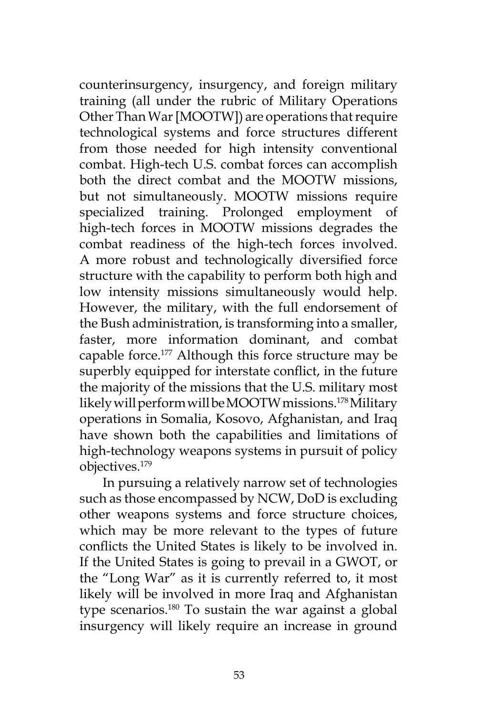counterinsurgency, insurgency, and foreign military training (all under the rubric of Military Operations Other Than War [MOOTW]) are operations that require technological systems and force structures different from those needed for high intensity conventional combat. High-tech U.S. combat forces can accomplish both the direct combat and the MOOTW missions, but not simultaneously. MOOTW missions require specialized training. Prolonged employment of high-tech forces in MOOTW missions degrades the combat readiness of the high-tech forces involved. A more robust and technologically diversified force structure with the capability to perform both high and low intensity missions simultaneously would help. However, the military, with the full endorsement of the Bush administration, is transforming into a smaller, faster, more information dominant, and combat capable force.<sup>177</sup> Although this force structure may be superbly equipped for interstate conflict, in the future the majority of the missions that the U.S. military most likely will perform will be MOOTW missions.178 Military operations in Somalia, Kosovo, Afghanistan, and Iraq have shown both the capabilities and limitations of high-technology weapons systems in pursuit of policy objectives.179

 In pursuing a relatively narrow set of technologies such as those encompassed by NCW, DoD is excluding other weapons systems and force structure choices, which may be more relevant to the types of future conflicts the United States is likely to be involved in. If the United States is going to prevail in a GWOT, or the "Long War" as it is currently referred to, it most likely will be involved in more Iraq and Afghanistan type scenarios.180 To sustain the war against a global insurgency will likely require an increase in ground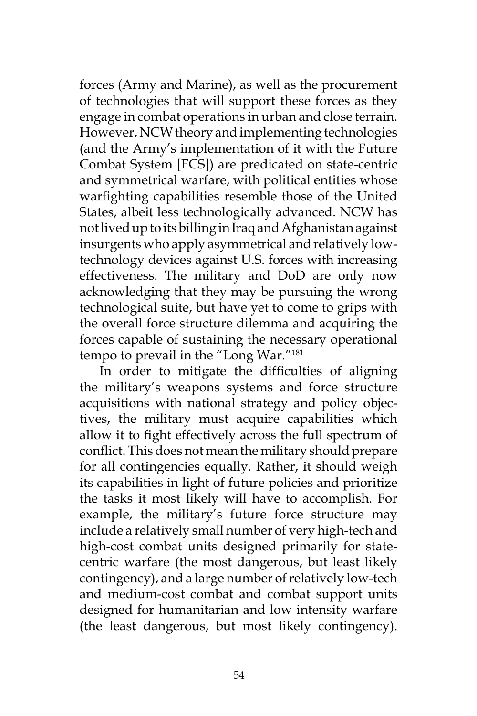forces (Army and Marine), as well as the procurement of technologies that will support these forces as they engage in combat operations in urban and close terrain. However, NCW theory and implementing technologies (and the Army's implementation of it with the Future Combat System [FCS]) are predicated on state-centric and symmetrical warfare, with political entities whose warfighting capabilities resemble those of the United States, albeit less technologically advanced. NCW has not lived up to its billing in Iraq and Afghanistan against insurgents who apply asymmetrical and relatively lowtechnology devices against U.S. forces with increasing effectiveness. The military and DoD are only now acknowledging that they may be pursuing the wrong technological suite, but have yet to come to grips with the overall force structure dilemma and acquiring the forces capable of sustaining the necessary operational tempo to prevail in the "Long War."181

In order to mitigate the difficulties of aligning the military's weapons systems and force structure acquisitions with national strategy and policy objectives, the military must acquire capabilities which allow it to fight effectively across the full spectrum of conflict. This does not mean the military should prepare for all contingencies equally. Rather, it should weigh its capabilities in light of future policies and prioritize the tasks it most likely will have to accomplish. For example, the military's future force structure may include a relatively small number of very high-tech and high-cost combat units designed primarily for statecentric warfare (the most dangerous, but least likely contingency), and a large number of relatively low-tech and medium-cost combat and combat support units designed for humanitarian and low intensity warfare (the least dangerous, but most likely contingency).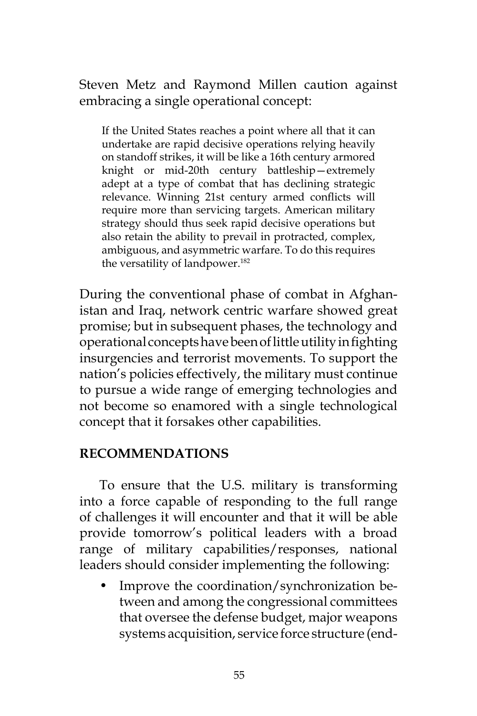Steven Metz and Raymond Millen caution against embracing a single operational concept:

If the United States reaches a point where all that it can undertake are rapid decisive operations relying heavily on standoff strikes, it will be like a 16th century armored knight or mid-20th century battleship—extremely adept at a type of combat that has declining strategic relevance. Winning 21st century armed conflicts will require more than servicing targets. American military strategy should thus seek rapid decisive operations but also retain the ability to prevail in protracted, complex, ambiguous, and asymmetric warfare. To do this requires the versatility of landpower.<sup>182</sup>

During the conventional phase of combat in Afghanistan and Iraq, network centric warfare showed great promise; but in subsequent phases, the technology and operational concepts have been of little utility in fighting insurgencies and terrorist movements. To support the nation's policies effectively, the military must continue to pursue a wide range of emerging technologies and not become so enamored with a single technological concept that it forsakes other capabilities.

## **RECOMMENDATIONS**

To ensure that the U.S. military is transforming into a force capable of responding to the full range of challenges it will encounter and that it will be able provide tomorrow's political leaders with a broad range of military capabilities/responses, national leaders should consider implementing the following:

• Improve the coordination/synchronization between and among the congressional committees that oversee the defense budget, major weapons systems acquisition, service force structure (end-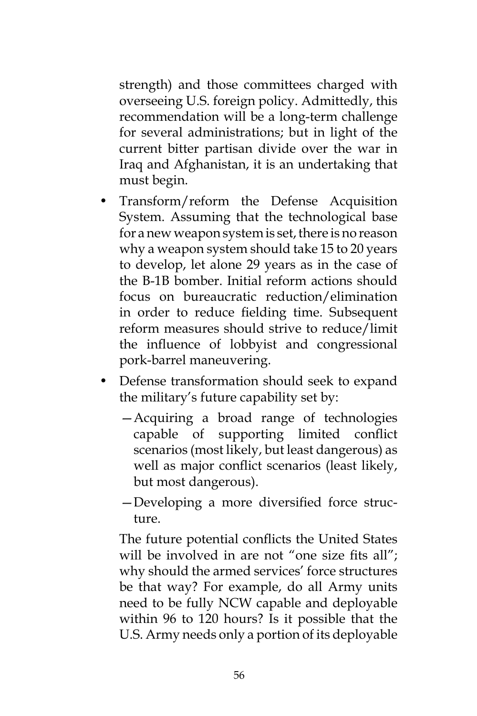strength) and those committees charged with overseeing U.S. foreign policy. Admittedly, this recommendation will be a long-term challenge for several administrations; but in light of the current bitter partisan divide over the war in Iraq and Afghanistan, it is an undertaking that must begin.

- Transform/reform the Defense Acquisition System. Assuming that the technological base for a new weapon system is set, there is no reason why a weapon system should take 15 to 20 years to develop, let alone 29 years as in the case of the B-1B bomber. Initial reform actions should focus on bureaucratic reduction/elimination in order to reduce fielding time. Subsequent reform measures should strive to reduce/limit the influence of lobbyist and congressional pork-barrel maneuvering.
- Defense transformation should seek to expand the military's future capability set by:
	- —Acquiring a broad range of technologies capable of supporting limited conflict scenarios (most likely, but least dangerous) as well as major conflict scenarios (least likely, but most dangerous).
	- —Developing a more diversified force structure.

The future potential conflicts the United States will be involved in are not "one size fits all"; why should the armed services' force structures be that way? For example, do all Army units need to be fully NCW capable and deployable within 96 to 120 hours? Is it possible that the U.S. Army needs only a portion of its deployable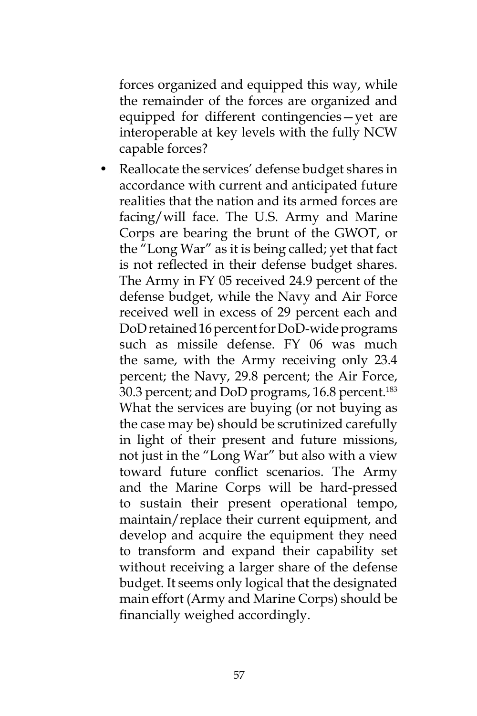forces organized and equipped this way, while the remainder of the forces are organized and equipped for different contingencies—yet are interoperable at key levels with the fully NCW capable forces?

• Reallocate the services' defense budget shares in accordance with current and anticipated future realities that the nation and its armed forces are facing/will face. The U.S. Army and Marine Corps are bearing the brunt of the GWOT, or the "Long War" as it is being called; yet that fact is not reflected in their defense budget shares. The Army in FY 05 received 24.9 percent of the defense budget, while the Navy and Air Force received well in excess of 29 percent each and DoD retained 16 percent for DoD-wide programs such as missile defense. FY 06 was much the same, with the Army receiving only 23.4 percent; the Navy, 29.8 percent; the Air Force, 30.3 percent; and DoD programs, 16.8 percent.<sup>183</sup> What the services are buying (or not buying as the case may be) should be scrutinized carefully in light of their present and future missions, not just in the "Long War" but also with a view toward future conflict scenarios. The Army and the Marine Corps will be hard-pressed to sustain their present operational tempo, maintain/replace their current equipment, and develop and acquire the equipment they need to transform and expand their capability set without receiving a larger share of the defense budget. It seems only logical that the designated main effort (Army and Marine Corps) should be financially weighed accordingly.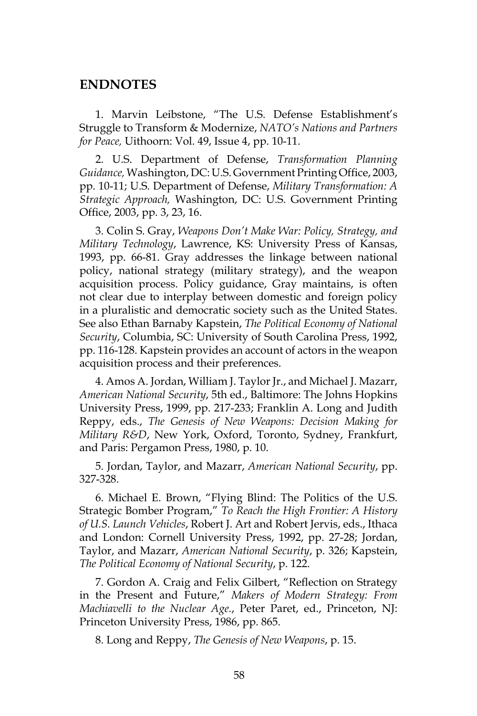#### **ENDNOTES**

1. Marvin Leibstone, "The U.S. Defense Establishment's Struggle to Transform & Modernize, *NATO's Nations and Partners for Peace,* Uithoorn: Vol. 49, Issue 4, pp. 10-11.

2. U.S. Department of Defense, *Transformation Planning Guidance,* Washington, DC: U.S. Government Printing Office, 2003, pp. 10-11; U.S. Department of Defense, *Military Transformation: A Strategic Approach,* Washington, DC: U.S. Government Printing Office, 2003, pp. 3, 23, 16.

3. Colin S. Gray, *Weapons Don't Make War: Policy, Strategy, and Military Technology*, Lawrence, KS: University Press of Kansas, 1993, pp. 66-81. Gray addresses the linkage between national policy, national strategy (military strategy), and the weapon acquisition process. Policy guidance, Gray maintains, is often not clear due to interplay between domestic and foreign policy in a pluralistic and democratic society such as the United States. See also Ethan Barnaby Kapstein, *The Political Economy of National Security*, Columbia, SC: University of South Carolina Press, 1992, pp. 116-128. Kapstein provides an account of actors in the weapon acquisition process and their preferences.

4. Amos A. Jordan, William J. Taylor Jr., and Michael J. Mazarr, *American National Security*, 5th ed., Baltimore: The Johns Hopkins University Press, 1999, pp. 217-233; Franklin A. Long and Judith Reppy, eds., *The Genesis of New Weapons: Decision Making for Military R&D*, New York, Oxford, Toronto, Sydney, Frankfurt, and Paris: Pergamon Press, 1980, p. 10.

5. Jordan, Taylor, and Mazarr, *American National Security*, pp. 327-328.

6. Michael E. Brown, "Flying Blind: The Politics of the U.S. Strategic Bomber Program," *To Reach the High Frontier: A History of U.S. Launch Vehicles*, Robert J. Art and Robert Jervis, eds., Ithaca and London: Cornell University Press, 1992, pp. 27-28; Jordan, Taylor, and Mazarr, *American National Security*, p. 326; Kapstein, *The Political Economy of National Security*, p. 122.

7. Gordon A. Craig and Felix Gilbert, "Reflection on Strategy in the Present and Future," *Makers of Modern Strategy: From Machiavelli to the Nuclear Age.*, Peter Paret, ed., Princeton, NJ: Princeton University Press, 1986, pp. 865.

8. Long and Reppy, *The Genesis of New Weapons*, p. 15.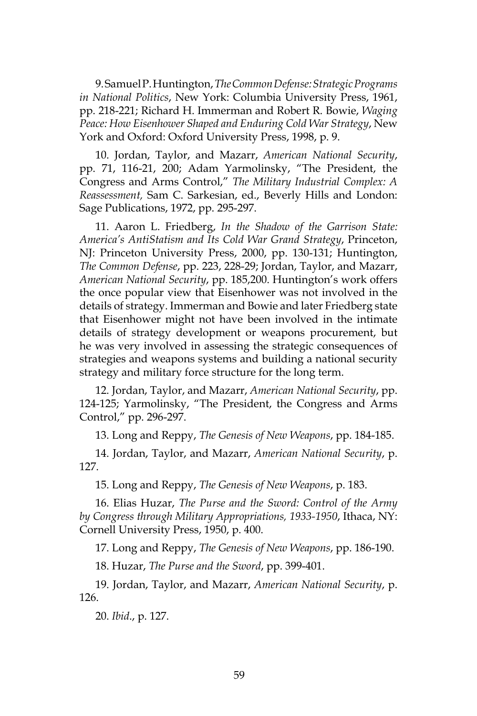9. Samuel P. Huntington, *The Common Defense: Strategic Programs in National Politics*, New York: Columbia University Press, 1961, pp. 218-221; Richard H. Immerman and Robert R. Bowie, *Waging Peace: How Eisenhower Shaped and Enduring Cold War Strategy*, New York and Oxford: Oxford University Press, 1998, p. 9.

10. Jordan, Taylor, and Mazarr, *American National Security*, pp. 71, 116-21, 200; Adam Yarmolinsky, "The President, the Congress and Arms Control," *The Military Industrial Complex: A Reassessment,* Sam C. Sarkesian, ed., Beverly Hills and London: Sage Publications, 1972, pp. 295-297.

11. Aaron L. Friedberg, *In the Shadow of the Garrison State: America's AntiStatism and Its Cold War Grand Strategy*, Princeton, NJ: Princeton University Press, 2000, pp. 130-131; Huntington, *The Common Defense*, pp. 223, 228-29; Jordan, Taylor, and Mazarr, *American National Security*, pp. 185,200. Huntington's work offers the once popular view that Eisenhower was not involved in the details of strategy. Immerman and Bowie and later Friedberg state that Eisenhower might not have been involved in the intimate details of strategy development or weapons procurement, but he was very involved in assessing the strategic consequences of strategies and weapons systems and building a national security strategy and military force structure for the long term.

12. Jordan, Taylor, and Mazarr, *American National Security*, pp. 124-125; Yarmolinsky, "The President, the Congress and Arms Control," pp. 296-297.

13. Long and Reppy, *The Genesis of New Weapons*, pp. 184-185.

14. Jordan, Taylor, and Mazarr, *American National Security*, p. 127.

15. Long and Reppy, *The Genesis of New Weapons*, p. 183.

16. Elias Huzar, *The Purse and the Sword: Control of the Army by Congress through Military Appropriations, 1933-1950*, Ithaca, NY: Cornell University Press, 1950, p. 400.

17. Long and Reppy, *The Genesis of New Weapons*, pp. 186-190.

18. Huzar, *The Purse and the Sword*, pp. 399-401.

19. Jordan, Taylor, and Mazarr, *American National Security*, p. 126.

20. *Ibid*., p. 127.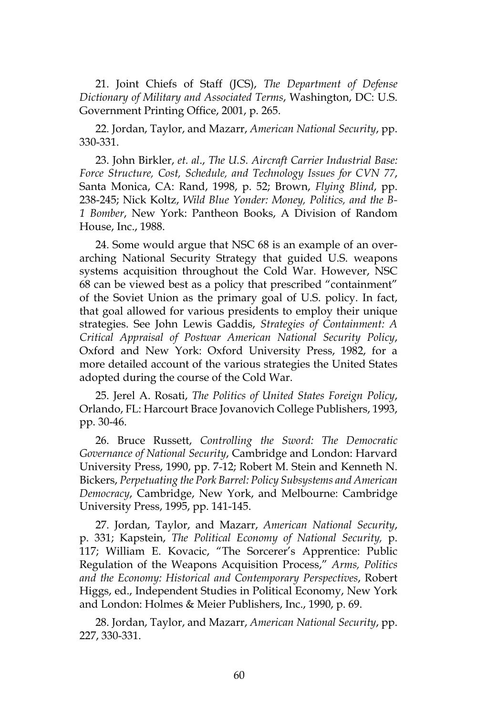21. Joint Chiefs of Staff (JCS), *The Department of Defense Dictionary of Military and Associated Terms*, Washington, DC: U.S. Government Printing Office, 2001, p. 265.

22. Jordan, Taylor, and Mazarr, *American National Security*, pp. 330-331.

23. John Birkler, *et. al*., *The U.S. Aircraft Carrier Industrial Base: Force Structure, Cost, Schedule, and Technology Issues for CVN 77*, Santa Monica, CA: Rand, 1998, p. 52; Brown, *Flying Blind*, pp. 238-245; Nick Koltz, *Wild Blue Yonder: Money, Politics, and the B-1 Bomber*, New York: Pantheon Books, A Division of Random House, Inc., 1988.

24. Some would argue that NSC 68 is an example of an overarching National Security Strategy that guided U.S. weapons systems acquisition throughout the Cold War. However, NSC 68 can be viewed best as a policy that prescribed "containment" of the Soviet Union as the primary goal of U.S. policy. In fact, that goal allowed for various presidents to employ their unique strategies. See John Lewis Gaddis, *Strategies of Containment: A Critical Appraisal of Postwar American National Security Policy*, Oxford and New York: Oxford University Press, 1982, for a more detailed account of the various strategies the United States adopted during the course of the Cold War.

25. Jerel A. Rosati, *The Politics of United States Foreign Policy*, Orlando, FL: Harcourt Brace Jovanovich College Publishers, 1993, pp. 30-46.

26. Bruce Russett, *Controlling the Sword: The Democratic Governance of National Security*, Cambridge and London: Harvard University Press, 1990, pp. 7-12; Robert M. Stein and Kenneth N. Bickers, *Perpetuating the Pork Barrel: Policy Subsystems and American Democracy*, Cambridge, New York, and Melbourne: Cambridge University Press, 1995, pp. 141-145.

27. Jordan, Taylor, and Mazarr, *American National Security*, p. 331; Kapstein, *The Political Economy of National Security,* p. 117; William E. Kovacic, "The Sorcerer's Apprentice: Public Regulation of the Weapons Acquisition Process," *Arms, Politics and the Economy: Historical and Contemporary Perspectives*, Robert Higgs, ed., Independent Studies in Political Economy, New York and London: Holmes & Meier Publishers, Inc., 1990, p. 69.

28. Jordan, Taylor, and Mazarr, *American National Security*, pp. 227, 330-331.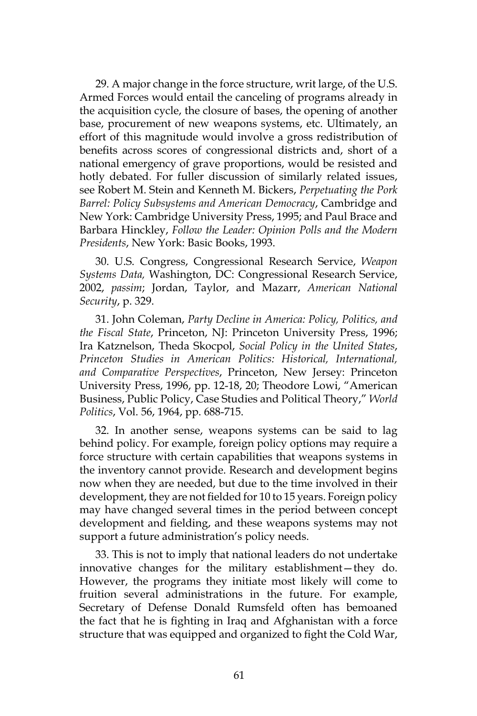29. A major change in the force structure, writ large, of the U.S. Armed Forces would entail the canceling of programs already in the acquisition cycle, the closure of bases, the opening of another base, procurement of new weapons systems, etc. Ultimately, an effort of this magnitude would involve a gross redistribution of benefits across scores of congressional districts and, short of a national emergency of grave proportions, would be resisted and hotly debated. For fuller discussion of similarly related issues, see Robert M. Stein and Kenneth M. Bickers, *Perpetuating the Pork Barrel: Policy Subsystems and American Democracy*, Cambridge and New York: Cambridge University Press, 1995; and Paul Brace and Barbara Hinckley, *Follow the Leader: Opinion Polls and the Modern Presidents*, New York: Basic Books, 1993.

30. U.S. Congress, Congressional Research Service, *Weapon Systems Data,* Washington, DC: Congressional Research Service, 2002, *passim*; Jordan, Taylor, and Mazarr, *American National Security*, p. 329.

31. John Coleman, *Party Decline in America: Policy, Politics, and the Fiscal State*, Princeton, NJ: Princeton University Press, 1996; Ira Katznelson, Theda Skocpol, *Social Policy in the United States*, *Princeton Studies in American Politics: Historical, International, and Comparative Perspectives*, Princeton, New Jersey: Princeton University Press, 1996, pp. 12-18, 20; Theodore Lowi, "American Business, Public Policy, Case Studies and Political Theory," *World Politics*, Vol. 56, 1964, pp. 688-715.

32. In another sense, weapons systems can be said to lag behind policy. For example, foreign policy options may require a force structure with certain capabilities that weapons systems in the inventory cannot provide. Research and development begins now when they are needed, but due to the time involved in their development, they are not fielded for 10 to 15 years. Foreign policy may have changed several times in the period between concept development and fielding, and these weapons systems may not support a future administration's policy needs.

33. This is not to imply that national leaders do not undertake innovative changes for the military establishment—they do. However, the programs they initiate most likely will come to fruition several administrations in the future. For example, Secretary of Defense Donald Rumsfeld often has bemoaned the fact that he is fighting in Iraq and Afghanistan with a force structure that was equipped and organized to fight the Cold War,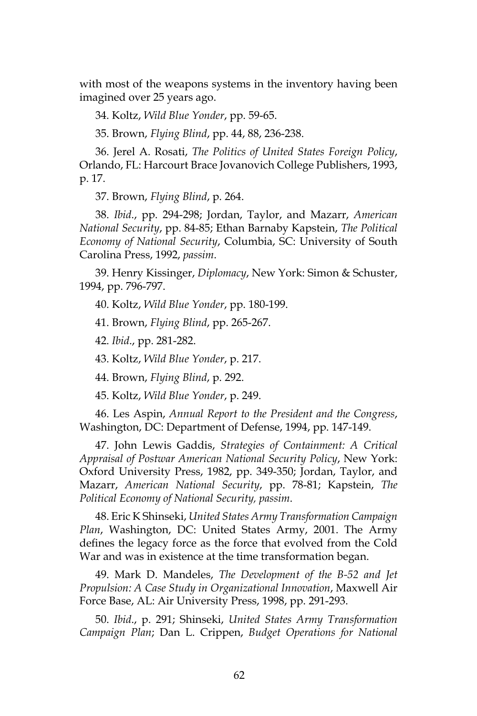with most of the weapons systems in the inventory having been imagined over 25 years ago.

34. Koltz, *Wild Blue Yonder*, pp. 59-65.

35. Brown, *Flying Blind*, pp. 44, 88, 236-238.

36. Jerel A. Rosati, *The Politics of United States Foreign Policy*, Orlando, FL: Harcourt Brace Jovanovich College Publishers, 1993, p. 17.

37. Brown, *Flying Blind*, p. 264.

38. *Ibid*., pp. 294-298; Jordan, Taylor, and Mazarr, *American National Security*, pp. 84-85; Ethan Barnaby Kapstein, *The Political Economy of National Security*, Columbia, SC: University of South Carolina Press, 1992, *passim*.

39. Henry Kissinger, *Diplomacy*, New York: Simon & Schuster, 1994, pp. 796-797.

40. Koltz, *Wild Blue Yonder*, pp. 180-199.

41. Brown, *Flying Blind*, pp. 265-267.

42. *Ibid*., pp. 281-282.

43. Koltz, *Wild Blue Yonder*, p. 217.

44. Brown, *Flying Blind*, p. 292.

45. Koltz, *Wild Blue Yonder*, p. 249.

46. Les Aspin, *Annual Report to the President and the Congress*, Washington, DC: Department of Defense, 1994, pp. 147-149.

47. John Lewis Gaddis, *Strategies of Containment: A Critical Appraisal of Postwar American National Security Policy*, New York: Oxford University Press, 1982, pp. 349-350; Jordan, Taylor, and Mazarr, *American National Security*, pp. 78-81; Kapstein, *The Political Economy of National Security, passim*.

48. Eric K Shinseki, *United States Army Transformation Campaign Plan*, Washington, DC: United States Army, 2001. The Army defines the legacy force as the force that evolved from the Cold War and was in existence at the time transformation began.

49. Mark D. Mandeles, *The Development of the B-52 and Jet Propulsion: A Case Study in Organizational Innovation*, Maxwell Air Force Base, AL: Air University Press, 1998, pp. 291-293.

50. *Ibid*., p. 291; Shinseki, *United States Army Transformation Campaign Plan*; Dan L. Crippen, *Budget Operations for National*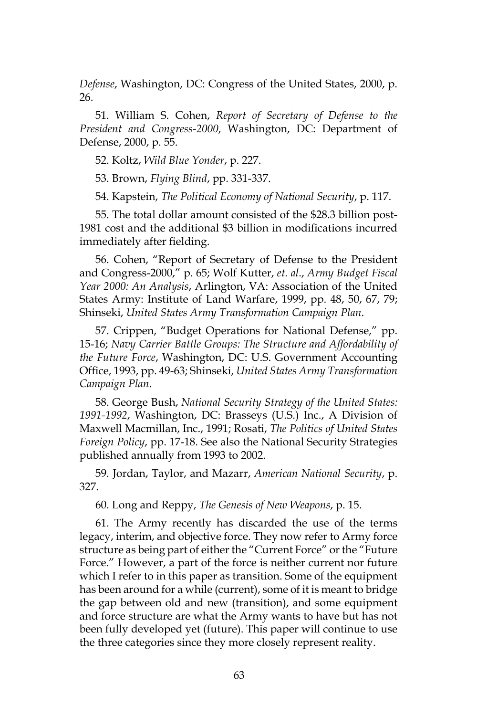*Defense*, Washington, DC: Congress of the United States, 2000, p. 26.

51. William S. Cohen, *Report of Secretary of Defense to the President and Congress-2000*, Washington, DC: Department of Defense, 2000, p. 55.

52. Koltz, *Wild Blue Yonder*, p. 227.

53. Brown, *Flying Blind*, pp. 331-337.

54. Kapstein, *The Political Economy of National Security*, p. 117.

55. The total dollar amount consisted of the \$28.3 billion post-1981 cost and the additional \$3 billion in modifications incurred immediately after fielding.

56. Cohen, "Report of Secretary of Defense to the President and Congress-2000," p. 65; Wolf Kutter, *et. al*., *Army Budget Fiscal Year 2000: An Analysis*, Arlington, VA: Association of the United States Army: Institute of Land Warfare, 1999, pp. 48, 50, 67, 79; Shinseki, *United States Army Transformation Campaign Plan*.

57. Crippen, "Budget Operations for National Defense," pp. 15-16; *Navy Carrier Battle Groups: The Structure and Affordability of the Future Force*, Washington, DC: U.S. Government Accounting Office, 1993, pp. 49-63; Shinseki, *United States Army Transformation Campaign Plan*.

58. George Bush, *National Security Strategy of the United States: 1991-1992*, Washington, DC: Brasseys (U.S.) Inc., A Division of Maxwell Macmillan, Inc., 1991; Rosati, *The Politics of United States Foreign Policy*, pp. 17-18. See also the National Security Strategies published annually from 1993 to 2002.

59. Jordan, Taylor, and Mazarr, *American National Security*, p. 327.

60. Long and Reppy, *The Genesis of New Weapons*, p. 15.

61. The Army recently has discarded the use of the terms legacy, interim, and objective force. They now refer to Army force structure as being part of either the "Current Force" or the "Future Force." However, a part of the force is neither current nor future which I refer to in this paper as transition. Some of the equipment has been around for a while (current), some of it is meant to bridge the gap between old and new (transition), and some equipment and force structure are what the Army wants to have but has not been fully developed yet (future). This paper will continue to use the three categories since they more closely represent reality.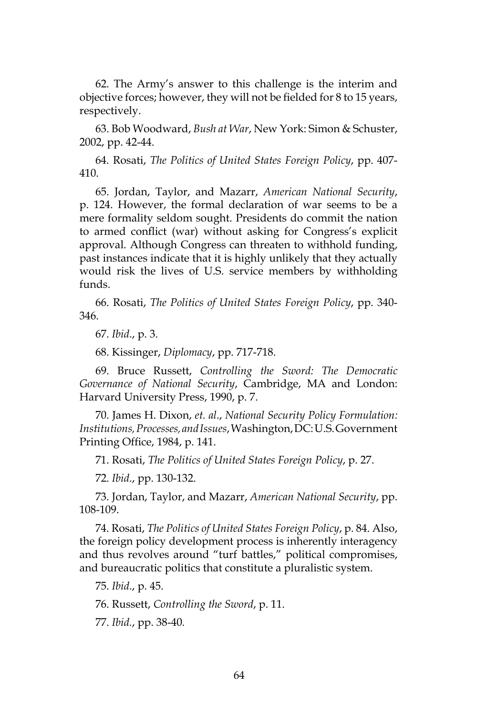62. The Army's answer to this challenge is the interim and objective forces; however, they will not be fielded for 8 to 15 years, respectively.

63. Bob Woodward, *Bush at War*, New York: Simon & Schuster, 2002, pp. 42-44.

64. Rosati, *The Politics of United States Foreign Policy*, pp. 407- 410.

65. Jordan, Taylor, and Mazarr, *American National Security*, p. 124. However, the formal declaration of war seems to be a mere formality seldom sought. Presidents do commit the nation to armed conflict (war) without asking for Congress's explicit approval. Although Congress can threaten to withhold funding, past instances indicate that it is highly unlikely that they actually would risk the lives of U.S. service members by withholding funds.

66. Rosati, *The Politics of United States Foreign Policy*, pp. 340- 346.

67. *Ibid*., p. 3.

68. Kissinger, *Diplomacy*, pp. 717-718.

69. Bruce Russett, *Controlling the Sword: The Democratic Governance of National Security*, Cambridge, MA and London: Harvard University Press, 1990, p. 7.

70. James H. Dixon, *et. al*., *National Security Policy Formulation: Institutions, Processes, and Issues*, Washington, DC: U.S. Government Printing Office, 1984, p. 141.

71. Rosati, *The Politics of United States Foreign Policy*, p. 27.

72. *Ibid*., pp. 130-132.

73. Jordan, Taylor, and Mazarr, *American National Security*, pp. 108-109.

74. Rosati, *The Politics of United States Foreign Policy*, p. 84. Also, the foreign policy development process is inherently interagency and thus revolves around "turf battles," political compromises, and bureaucratic politics that constitute a pluralistic system.

75. *Ibid*., p. 45.

76. Russett, *Controlling the Sword*, p. 11.

77. *Ibid.*, pp. 38-40*.*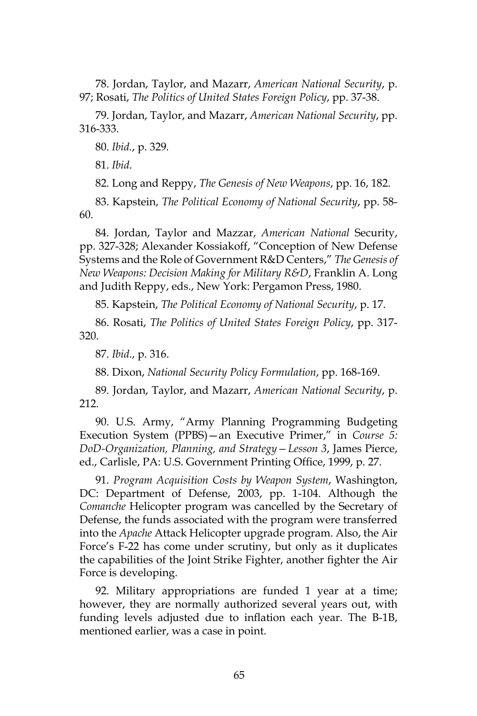78. Jordan, Taylor, and Mazarr, *American National Security*, p. 97; Rosati, *The Politics of United States Foreign Policy*, pp. 37-38.

79. Jordan, Taylor, and Mazarr, *American National Security*, pp. 316-333.

80. *Ibid.*, p. 329*.*

81. *Ibid*.

82. Long and Reppy, *The Genesis of New Weapons*, pp. 16, 182.

83. Kapstein, *The Political Economy of National Security*, pp. 58- 60.

84. Jordan, Taylor and Mazzar, *American National* Security, pp. 327-328; Alexander Kossiakoff, "Conception of New Defense Systems and the Role of Government R&D Centers," *The Genesis of New Weapons: Decision Making for Military R&D*, Franklin A. Long and Judith Reppy, eds., New York: Pergamon Press, 1980.

85. Kapstein, *The Political Economy of National Security*, p. 17.

86. Rosati, *The Politics of United States Foreign Policy*, pp. 317- 320.

87. *Ibid*., p. 316.

88. Dixon, *National Security Policy Formulation*, pp. 168-169.

89. Jordan, Taylor, and Mazarr, *American National Security*, p. 212.

90. U.S. Army, "Army Planning Programming Budgeting Execution System (PPBS)—an Executive Primer," in *Course 5: DoD-Organization, Planning, and Strategy—Lesson 3*, James Pierce, ed., Carlisle, PA: U.S. Government Printing Office, 1999, p. 27.

91. *Program Acquisition Costs by Weapon System*, Washington, DC: Department of Defense, 2003, pp. 1-104. Although the *Comanche* Helicopter program was cancelled by the Secretary of Defense, the funds associated with the program were transferred into the *Apache* Attack Helicopter upgrade program. Also, the Air Force's F-22 has come under scrutiny, but only as it duplicates the capabilities of the Joint Strike Fighter, another fighter the Air Force is developing.

92. Military appropriations are funded 1 year at a time; however, they are normally authorized several years out, with funding levels adjusted due to inflation each year. The B-1B, mentioned earlier, was a case in point.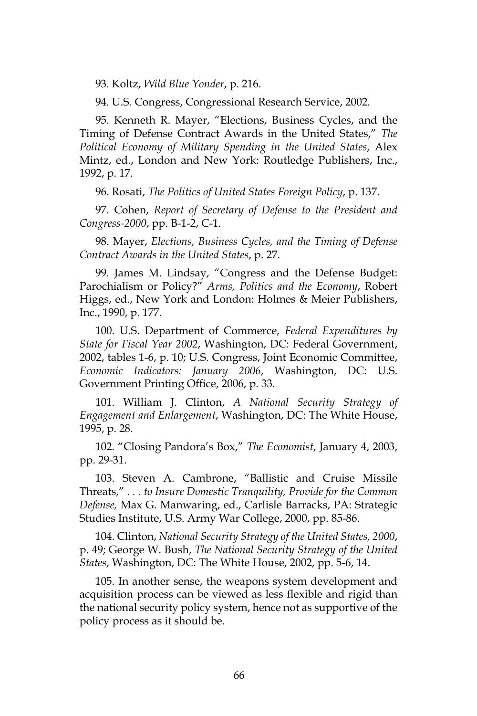93. Koltz, *Wild Blue Yonder*, p. 216.

94. U.S. Congress, Congressional Research Service, 2002.

95. Kenneth R. Mayer, "Elections, Business Cycles, and the Timing of Defense Contract Awards in the United States," *The Political Economy of Military Spending in the United States*, Alex Mintz, ed., London and New York: Routledge Publishers, Inc., 1992, p. 17.

96. Rosati, *The Politics of United States Foreign Policy*, p. 137.

97. Cohen, *Report of Secretary of Defense to the President and Congress-2000*, pp. B-1-2, C-1.

98. Mayer, *Elections, Business Cycles, and the Timing of Defense Contract Awards in the United States*, p. 27.

99. James M. Lindsay, "Congress and the Defense Budget: Parochialism or Policy?" *Arms, Politics and the Economy*, Robert Higgs, ed., New York and London: Holmes & Meier Publishers, Inc., 1990, p. 177.

100. U.S. Department of Commerce, *Federal Expenditures by State for Fiscal Year 2002*, Washington, DC: Federal Government, 2002, tables 1-6, p. 10; U.S. Congress, Joint Economic Committee, *Economic Indicators: January 2006*, Washington, DC: U.S. Government Printing Office, 2006, p. 33.

101. William J. Clinton, *A National Security Strategy of Engagement and Enlargement*, Washington, DC: The White House, 1995, p. 28.

102. "Closing Pandora's Box," *The Economist*, January 4, 2003, pp. 29-31.

103. Steven A. Cambrone, "Ballistic and Cruise Missile Threats," *. . . to Insure Domestic Tranquility, Provide for the Common Defense,* Max G. Manwaring, ed., Carlisle Barracks, PA: Strategic Studies Institute, U.S. Army War College, 2000, pp. 85-86.

104. Clinton, *National Security Strategy of the United States, 2000*, p. 49; George W. Bush, *The National Security Strategy of the United States*, Washington, DC: The White House, 2002, pp. 5-6, 14.

105. In another sense, the weapons system development and acquisition process can be viewed as less flexible and rigid than the national security policy system, hence not as supportive of the policy process as it should be.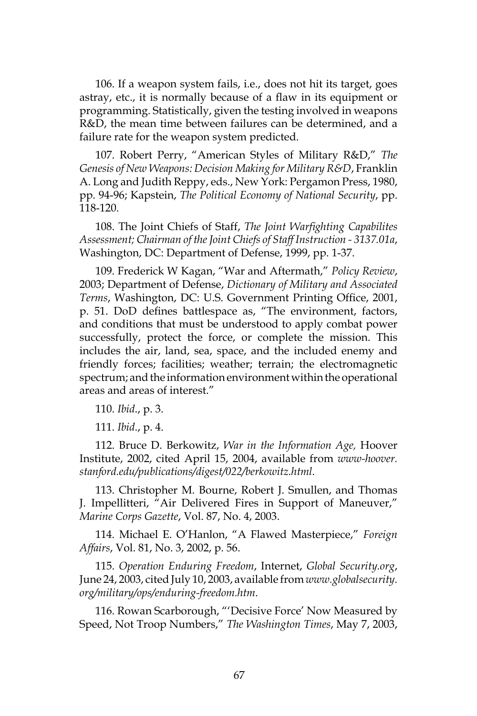106. If a weapon system fails, i.e., does not hit its target, goes astray, etc., it is normally because of a flaw in its equipment or programming. Statistically, given the testing involved in weapons R&D, the mean time between failures can be determined, and a failure rate for the weapon system predicted.

107. Robert Perry, "American Styles of Military R&D," *The Genesis of New Weapons: Decision Making for Military R&D*, Franklin A. Long and Judith Reppy, eds., New York: Pergamon Press, 1980, pp. 94-96; Kapstein, *The Political Economy of National Security*, pp. 118-120.

108. The Joint Chiefs of Staff, *The Joint Warfighting Capabilites Assessment; Chairman of the Joint Chiefs of Staff Instruction - 3137.01a*, Washington, DC: Department of Defense, 1999, pp. 1-37.

109. Frederick W Kagan, "War and Aftermath," *Policy Review*, 2003; Department of Defense, *Dictionary of Military and Associated Terms*, Washington, DC: U.S. Government Printing Office, 2001, p. 51. DoD defines battlespace as, "The environment, factors, and conditions that must be understood to apply combat power successfully, protect the force, or complete the mission. This includes the air, land, sea, space, and the included enemy and friendly forces; facilities; weather; terrain; the electromagnetic spectrum; and the information environment within the operational areas and areas of interest."

110. *Ibid*., p. 3.

111. *Ibid*., p. 4.

112. Bruce D. Berkowitz, *War in the Information Age,* Hoover Institute, 2002, cited April 15, 2004, available from *www-hoover. stanford.edu/publications/digest/022/berkowitz.html*.

113. Christopher M. Bourne, Robert J. Smullen, and Thomas J. Impellitteri, "Air Delivered Fires in Support of Maneuver," *Marine Corps Gazette*, Vol. 87, No. 4, 2003.

114. Michael E. O'Hanlon, "A Flawed Masterpiece," *Foreign Affairs*, Vol. 81, No. 3, 2002, p. 56.

115. *Operation Enduring Freedom*, Internet, *Global Security.org*, June 24, 2003, cited July 10, 2003, available from *www.globalsecurity. org/military/ops/enduring-freedom.htm*.

116. Rowan Scarborough, "'Decisive Force' Now Measured by Speed, Not Troop Numbers," *The Washington Times*, May 7, 2003,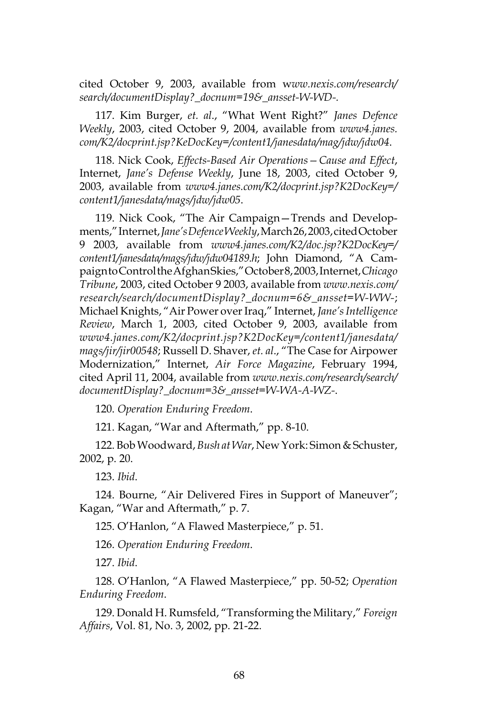cited October 9, 2003, available from w*ww.nexis.com/research/ search/documentDisplay?\_docnum=19&\_ansset-W-WD-.*

117. Kim Burger, *et. al*., "What Went Right?" *Janes Defence Weekly*, 2003, cited October 9, 2004, available from *www4.janes. com/K2/docprint.jsp?KeDocKey=/content1/janesdata/mag/jdw/jdw04*.

118. Nick Cook, *Effects-Based Air Operations—Cause and Effect*, Internet, *Jane's Defense Weekly*, June 18, 2003, cited October 9, 2003, available from *www4.janes.com/K2/docprint.jsp?K2DocKey=/ content1/janesdata/mags/jdw/jdw05*.

119. Nick Cook, "The Air Campaign—Trends and Developments," Internet, *Jane's Defence Weekly*, March 26, 2003, cited October 9 2003, available from *www4.janes.com/K2/doc.jsp?K2DocKey=/ content1/janesdata/mags/jdw/jdw04189.h*; John Diamond, "A Campaign to Control the Afghan Skies," October 8, 2003, Internet, *Chicago Tribune*, 2003, cited October 9 2003, available from *www.nexis.com/ research/search/documentDisplay?\_docnum=6&\_ansset=W-WW-*; Michael Knights, "Air Power over Iraq," Internet, *Jane's Intelligence Review*, March 1, 2003, cited October 9, 2003, available from *www4.janes.com/K2/docprint.jsp?K2DocKey=/content1/janesdata/ mags/jir/jir00548*; Russell D. Shaver, *et. al*., "The Case for Airpower Modernization," Internet, *Air Force Magazine*, February 1994, cited April 11, 2004, available from *www.nexis.com/research/search/ documentDisplay?\_docnum=3&\_ansset=W-WA-A-WZ-*.

120. *Operation Enduring Freedom*.

121. Kagan, "War and Aftermath," pp. 8-10.

122. Bob Woodward, *Bush at War*, New York: Simon & Schuster, 2002, p. 20.

123. *Ibid*.

124. Bourne, "Air Delivered Fires in Support of Maneuver"; Kagan, "War and Aftermath," p. 7.

125. O'Hanlon, "A Flawed Masterpiece," p. 51.

126. *Operation Enduring Freedom*.

127. *Ibid*.

128. O'Hanlon, "A Flawed Masterpiece," pp. 50-52; *Operation Enduring Freedom*.

129. Donald H. Rumsfeld, "Transforming the Military," *Foreign Affairs*, Vol. 81, No. 3, 2002, pp. 21-22.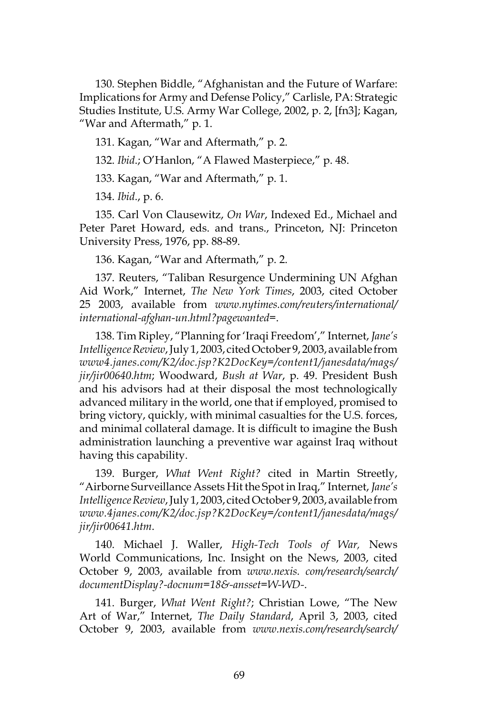130. Stephen Biddle, "Afghanistan and the Future of Warfare: Implications for Army and Defense Policy," Carlisle, PA: Strategic Studies Institute, U.S. Army War College, 2002, p. 2, [fn3]; Kagan, "War and Aftermath," p. 1.

131. Kagan, "War and Aftermath," p. 2.

132. *Ibid*.; O'Hanlon, "A Flawed Masterpiece," p. 48.

133. Kagan, "War and Aftermath," p. 1.

134. *Ibid*., p. 6.

135. Carl Von Clausewitz, *On War*, Indexed Ed., Michael and Peter Paret Howard, eds. and trans., Princeton, NJ: Princeton University Press, 1976, pp. 88-89.

136. Kagan, "War and Aftermath," p. 2.

137. Reuters, "Taliban Resurgence Undermining UN Afghan Aid Work," Internet, *The New York Times*, 2003, cited October 25 2003, available from *www.nytimes.com/reuters/international/ international-afghan-un.html?pagewanted=*.

138. Tim Ripley, "Planning for 'Iraqi Freedom'," Internet, *Jane's Intelligence Review*, July 1, 2003, cited October 9, 2003, available from *www4.janes.com/K2/doc.jsp?K2DocKey=/content1/janesdata/mags/ jir/jir00640.htm*; Woodward, *Bush at War*, p. 49. President Bush and his advisors had at their disposal the most technologically advanced military in the world, one that if employed, promised to bring victory, quickly, with minimal casualties for the U.S. forces, and minimal collateral damage. It is difficult to imagine the Bush administration launching a preventive war against Iraq without having this capability.

139. Burger, *What Went Right?* cited in Martin Streetly, "Airborne Surveillance Assets Hit the Spot in Iraq," Internet, *Jane's Intelligence Review*, July 1, 2003, cited October 9, 2003, available from *www.4janes.com/K2/doc.jsp?K2DocKey=/content1/janesdata/mags/ jir/jir00641.htm*.

140. Michael J. Waller, *High-Tech Tools of War,* News World Communications, Inc. Insight on the News, 2003, cited October 9, 2003, available from *www.nexis. com/research/search/ documentDisplay?-docnum=18&-ansset=W-WD-*.

141. Burger, *What Went Right?*; Christian Lowe, "The New Art of War," Internet, *The Daily Standard*, April 3, 2003, cited October 9, 2003, available from *www.nexis.com/research/search/*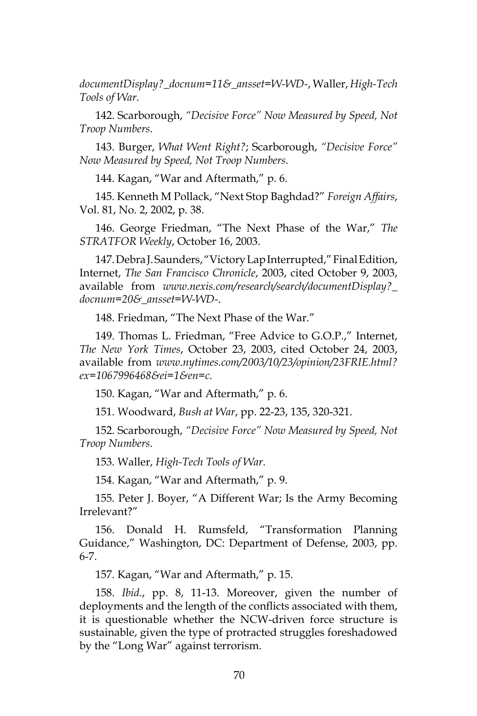*documentDisplay?\_docnum=11&\_ansset=W-WD-*, Waller, *High-Tech Tools of War*.

142. Scarborough, *"Decisive Force" Now Measured by Speed, Not Troop Numbers*.

143. Burger, *What Went Right?*; Scarborough, *"Decisive Force" Now Measured by Speed, Not Troop Numbers*.

144. Kagan, "War and Aftermath," p. 6.

145. Kenneth M Pollack, "Next Stop Baghdad?" *Foreign Affairs*, Vol. 81, No. 2, 2002, p. 38.

146. George Friedman, "The Next Phase of the War," *The STRATFOR Weekly*, October 16, 2003.

147. Debra J. Saunders, "Victory Lap Interrupted," Final Edition, Internet, *The San Francisco Chronicle*, 2003, cited October 9, 2003, available from *www.nexis.com/research/search/documentDisplay?\_ docnum=20&\_ansset=W-WD-*.

148. Friedman, "The Next Phase of the War."

149. Thomas L. Friedman, "Free Advice to G.O.P.," Internet, *The New York Times*, October 23, 2003, cited October 24, 2003, available from *www.nytimes.com/2003/10/23/opinion/23FRIE.html? ex=1067996468&ei=1&en=c*.

150. Kagan, "War and Aftermath," p. 6.

151. Woodward, *Bush at War*, pp. 22-23, 135, 320-321.

152. Scarborough, *"Decisive Force" Now Measured by Speed, Not Troop Numbers*.

153. Waller, *High-Tech Tools of War*.

154. Kagan, "War and Aftermath," p. 9.

155. Peter J. Boyer, "A Different War; Is the Army Becoming Irrelevant?"

156. Donald H. Rumsfeld, "Transformation Planning Guidance," Washington, DC: Department of Defense, 2003, pp. 6-7.

157. Kagan, "War and Aftermath," p. 15.

158. *Ibid*., pp. 8, 11-13. Moreover, given the number of deployments and the length of the conflicts associated with them, it is questionable whether the NCW-driven force structure is sustainable, given the type of protracted struggles foreshadowed by the "Long War" against terrorism.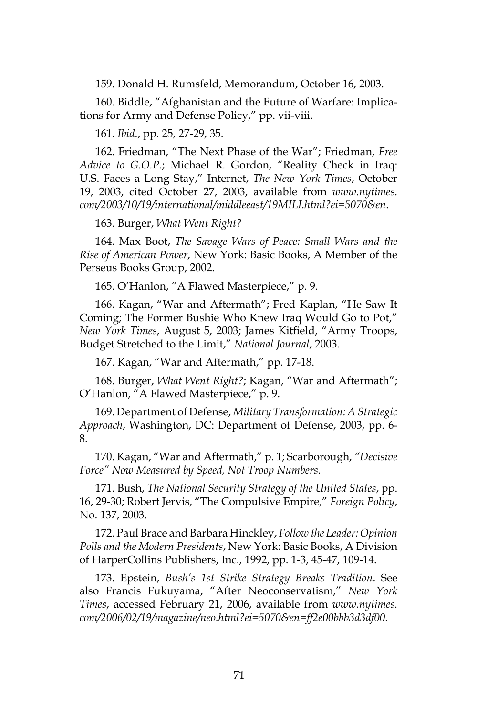159. Donald H. Rumsfeld, Memorandum, October 16, 2003.

160. Biddle, "Afghanistan and the Future of Warfare: Implications for Army and Defense Policy," pp. vii-viii.

161. *Ibid*., pp. 25, 27-29, 35.

162. Friedman, "The Next Phase of the War"; Friedman, *Free Advice to G.O.P.*; Michael R. Gordon, "Reality Check in Iraq: U.S. Faces a Long Stay," Internet, *The New York Times*, October 19, 2003, cited October 27, 2003, available from *www.nytimes. com/2003/10/19/international/middleeast/19MILI.html?ei=5070&en*.

163. Burger, *What Went Right?*

164. Max Boot, *The Savage Wars of Peace: Small Wars and the Rise of American Power*, New York: Basic Books, A Member of the Perseus Books Group, 2002.

165. O'Hanlon, "A Flawed Masterpiece," p. 9.

166. Kagan, "War and Aftermath"; Fred Kaplan, "He Saw It Coming; The Former Bushie Who Knew Iraq Would Go to Pot," *New York Times*, August 5, 2003; James Kitfield, "Army Troops, Budget Stretched to the Limit," *National Journal*, 2003.

167. Kagan, "War and Aftermath," pp. 17-18.

168. Burger, *What Went Right?*; Kagan, "War and Aftermath"; O'Hanlon, "A Flawed Masterpiece," p. 9.

169. Department of Defense, *Military Transformation: A Strategic Approach*, Washington, DC: Department of Defense, 2003, pp. 6- 8.

170. Kagan, "War and Aftermath," p. 1; Scarborough, *"Decisive Force" Now Measured by Speed, Not Troop Numbers*.

171. Bush, *The National Security Strategy of the United States*, pp. 16, 29-30; Robert Jervis, "The Compulsive Empire," *Foreign Policy*, No. 137, 2003.

172. Paul Brace and Barbara Hinckley, *Follow the Leader: Opinion Polls and the Modern Presidents*, New York: Basic Books, A Division of HarperCollins Publishers, Inc., 1992, pp. 1-3, 45-47, 109-14.

173. Epstein, *Bush's 1st Strike Strategy Breaks Tradition*. See also Francis Fukuyama, "After Neoconservatism," *New York Times*, accessed February 21, 2006, available from *www.nytimes. com/2006/02/19/magazine/neo.html?ei=5070&en=ff2e00bbb3d3df00*.